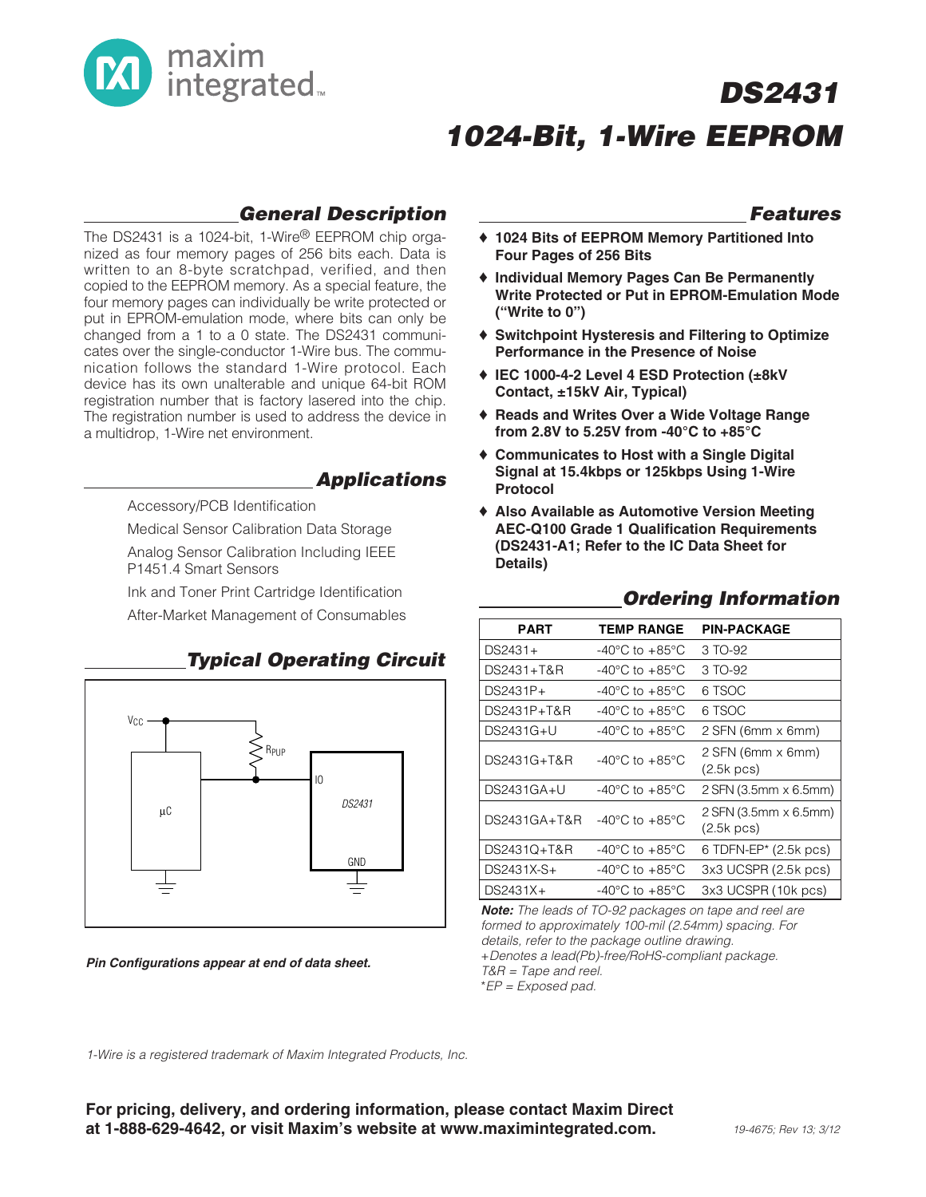

## **DS2431 1024-Bit, 1-Wire EEPROM**

### **General Description**

The DS2431 is a 1024-bit, 1-Wire® EEPROM chip organized as four memory pages of 256 bits each. Data is written to an 8-byte scratchpad, verified, and then copied to the EEPROM memory. As a special feature, the four memory pages can individually be write protected or put in EPROM-emulation mode, where bits can only be changed from a 1 to a 0 state. The DS2431 communicates over the single-conductor 1-Wire bus. The communication follows the standard 1-Wire protocol. Each device has its own unalterable and unique 64-bit ROM registration number that is factory lasered into the chip. The registration number is used to address the device in a multidrop, 1-Wire net environment.

### **Applications**

Accessory/PCB Identification

Medical Sensor Calibration Data Storage

Analog Sensor Calibration Including IEEE P1451.4 Smart Sensors

Ink and Toner Print Cartridge Identification

After-Market Management of Consumables



### **Pin Configurations appear at end of data sheet.**

### **Features**

- ♦ **1024 Bits of EEPROM Memory Partitioned Into Four Pages of 256 Bits**
- ♦ **Individual Memory Pages Can Be Permanently Write Protected or Put in EPROM-Emulation Mode ("Write to 0")**
- ♦ **Switchpoint Hysteresis and Filtering to Optimize Performance in the Presence of Noise**
- ♦ **IEC 1000-4-2 Level 4 ESD Protection (±8kV Contact, ±15kV Air, Typical)**
- ♦ **Reads and Writes Over a Wide Voltage Range from 2.8V to 5.25V from -40°C to +85°C**
- ♦ **Communicates to Host with a Single Digital Signal at 15.4kbps or 125kbps Using 1-Wire Protocol**
- ♦ **Also Available as Automotive Version Meeting AEC-Q100 Grade 1 Qualification Requirements (DS2431-A1; Refer to the IC Data Sheet for Details)**

| PART         | <b>TEMP RANGE</b>                    | <b>PIN-PACKAGE</b>                    |
|--------------|--------------------------------------|---------------------------------------|
| DS2431+      | -40°C to +85°C                       | 3 TO-92                               |
| DS2431+T&R   | $-40^{\circ}$ C to $+85^{\circ}$ C   | 3 TO-92                               |
| $DS2431P+$   | -40°C to +85°C                       | 6 TSOC                                |
| DS2431P+T&R  | $-40^{\circ}$ C to $+85^{\circ}$ C   | 6 TSOC                                |
| DS2431G+U    | -40°C to +85°C                       | 2 SFN (6mm x 6mm)                     |
| DS2431G+T&R  | $-40^{\circ}$ C to $+85^{\circ}$ C   | 2 SFN (6mm x 6mm)<br>$(2.5k$ pcs)     |
| DS2431GA+U   | $-40^{\circ}$ C to $+85^{\circ}$ C   | 2 SFN (3.5mm x 6.5mm)                 |
| DS2431GA+T&R | $-40^{\circ}$ C to $+85^{\circ}$ C   | 2 SFN (3.5mm x 6.5mm)<br>$(2.5k$ pcs) |
| DS2431Q+T&R  | -40 $^{\circ}$ C to +85 $^{\circ}$ C | 6 TDFN-EP $*$ (2.5k pcs)              |
| DS2431X-S+   | -40°C to $+85^{\circ}$ C             | 3x3 UCSPR (2.5k pcs)                  |
| $DS2431X+$   | $-40^{\circ}$ C to $+85^{\circ}$ C   | 3x3 UCSPR (10k pcs)                   |
|              |                                      |                                       |

### **Ordering Information**

**Note:** The leads of TO-92 packages on tape and reel are formed to approximately 100-mil (2.54mm) spacing. For details, refer to the package outline drawing. +Denotes a lead(Pb)-free/RoHS-compliant package. T&R = Tape and reel. \*EP = Exposed pad.

1-Wire is a registered trademark of Maxim Integrated Products, Inc.

**For pricing, delivery, and ordering information, please contact Maxim Direct at 1-888-629-4642, or visit Maxim's website at www.maximintegrated.com.** 19-4675; Rev 13; 3/12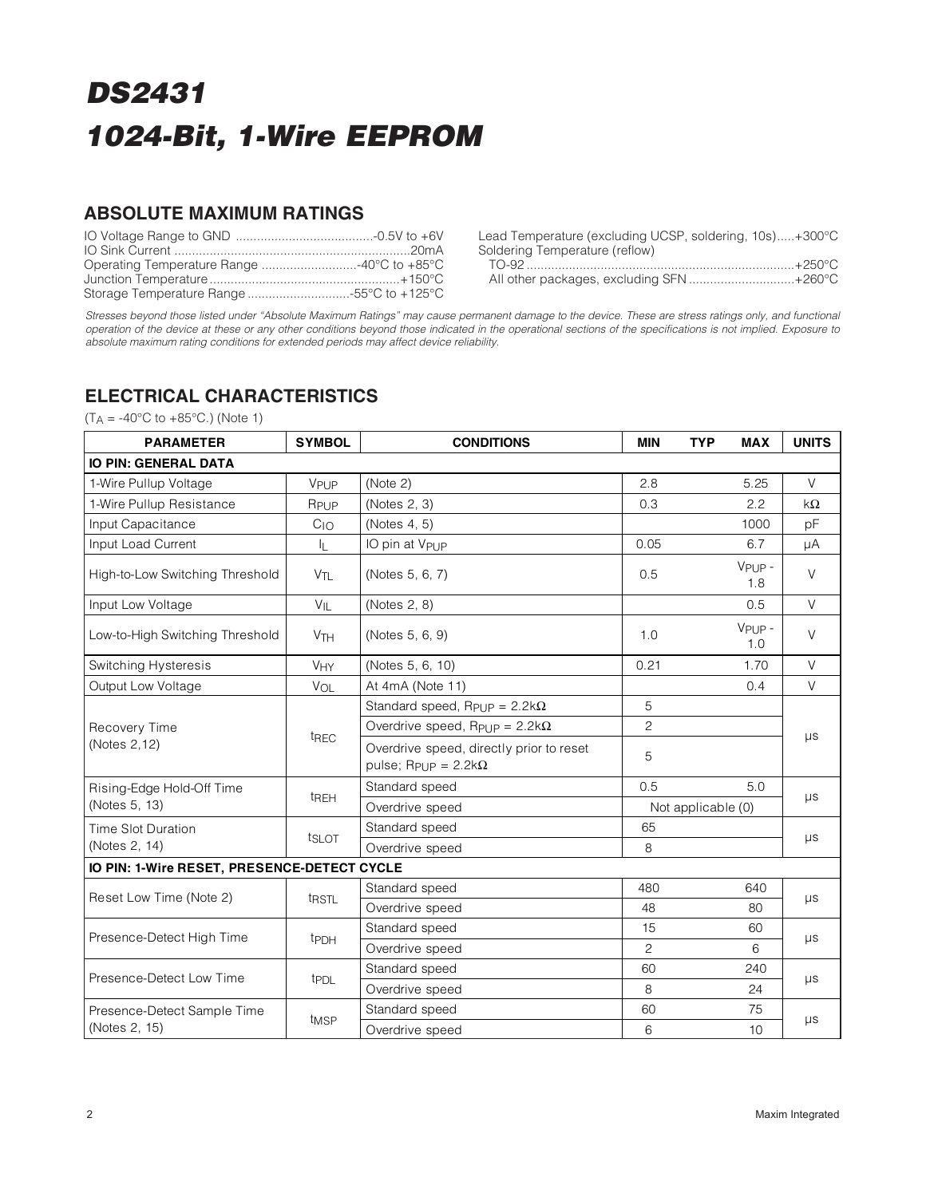### **ABSOLUTE MAXIMUM RATINGS**

Lead Temperature (excluding UCSP, soldering, 10s).....+300°C Soldering Temperature (reflow)<br>TO-92 TO-92 ............................................................................+250°C

|  |  | All other packages, excluding SFN +260°C |  |  |  |
|--|--|------------------------------------------|--|--|--|

Stresses beyond those listed under "Absolute Maximum Ratings" may cause permanent damage to the device. These are stress ratings only, and functional operation of the device at these or any other conditions beyond those indicated in the operational sections of the specifications is not implied. Exposure to absolute maximum rating conditions for extended periods may affect device reliability.

### **ELECTRICAL CHARACTERISTICS**

 $(T_A = -40^{\circ}C \text{ to } +85^{\circ}C)$  (Note 1)

| <b>PARAMETER</b>                            | <b>SYMBOL</b>         | <b>CONDITIONS</b>                                                                      | <b>MIN</b>         | <b>TYP</b><br><b>MAX</b>  | <b>UNITS</b> |  |  |
|---------------------------------------------|-----------------------|----------------------------------------------------------------------------------------|--------------------|---------------------------|--------------|--|--|
| <b>IO PIN: GENERAL DATA</b>                 |                       |                                                                                        |                    |                           |              |  |  |
| 1-Wire Pullup Voltage                       | VPUP                  | (Note 2)                                                                               | 2.8                | 5.25                      | $\vee$       |  |  |
| 1-Wire Pullup Resistance                    | RPUP                  | (Notes 2, 3)                                                                           | 0.3                | 2.2                       | $k\Omega$    |  |  |
| Input Capacitance                           | C <sub>10</sub>       | (Notes 4, 5)                                                                           |                    | 1000                      | pF           |  |  |
| Input Load Current                          | 址                     | IO pin at V <sub>PUP</sub>                                                             | 0.05               | 6.7                       | μA           |  |  |
| High-to-Low Switching Threshold             | V <sub>TL</sub>       | (Notes 5, 6, 7)                                                                        | 0.5                | V <sub>PUP</sub> -<br>1.8 | $\vee$       |  |  |
| Input Low Voltage                           | $V_{IL}$              | (Notes 2, 8)                                                                           |                    | 0.5                       | $\vee$       |  |  |
| Low-to-High Switching Threshold             | <b>V<sub>TH</sub></b> | (Notes 5, 6, 9)                                                                        | 1.0                | $VPIIP -$<br>1.0          | $\vee$       |  |  |
| Switching Hysteresis                        | VHY                   | (Notes 5, 6, 10)                                                                       | 0.21               | 1.70                      | $\vee$       |  |  |
| Output Low Voltage                          | VOL                   | At 4mA (Note 11)                                                                       |                    | 0.4                       | $\vee$       |  |  |
|                                             | t <sub>REC</sub>      | Standard speed, $R_{\text{Pl}}$ $p = 2.2k\Omega$                                       | 5                  |                           |              |  |  |
| Recovery Time                               |                       | Overdrive speed, Rpup = $2.2$ k $\Omega$                                               | $\overline{c}$     |                           |              |  |  |
| (Notes 2,12)                                |                       | Overdrive speed, directly prior to reset<br>pulse; R <sub>PUP</sub> = $2.2$ k $\Omega$ | 5                  |                           | μs           |  |  |
| Rising-Edge Hold-Off Time                   |                       | Standard speed                                                                         | 0.5                | 5.0                       |              |  |  |
| (Notes 5, 13)                               | t <sub>REH</sub>      | Overdrive speed                                                                        | Not applicable (0) |                           | $\mu s$      |  |  |
| <b>Time Slot Duration</b>                   |                       | Standard speed                                                                         | 65                 |                           |              |  |  |
| (Notes 2, 14)                               |                       | tslot<br>Overdrive speed                                                               |                    |                           | $\mu s$      |  |  |
| IO PIN: 1-Wire RESET, PRESENCE-DETECT CYCLE |                       |                                                                                        |                    |                           |              |  |  |
| Reset Low Time (Note 2)                     | t <sub>RSTL</sub>     | Standard speed                                                                         | 480                | 640                       |              |  |  |
|                                             |                       | Overdrive speed                                                                        | 48                 | 80                        | $\mu s$      |  |  |
| Presence-Detect High Time                   | t <sub>PDH</sub>      | Standard speed                                                                         | 15                 | 60                        | $\mu s$      |  |  |
|                                             |                       | Overdrive speed                                                                        | 2                  | 6                         |              |  |  |
| Presence-Detect Low Time                    | t <sub>PDL</sub>      | Standard speed                                                                         | 60                 | 240                       |              |  |  |
|                                             |                       | Overdrive speed                                                                        | 8                  | 24                        | μs           |  |  |
| Presence-Detect Sample Time                 | t <sub>MSP</sub>      | Standard speed                                                                         | 60                 | 75                        |              |  |  |
| (Notes 2, 15)                               |                       | Overdrive speed                                                                        | 6                  | 10                        | $\mu s$      |  |  |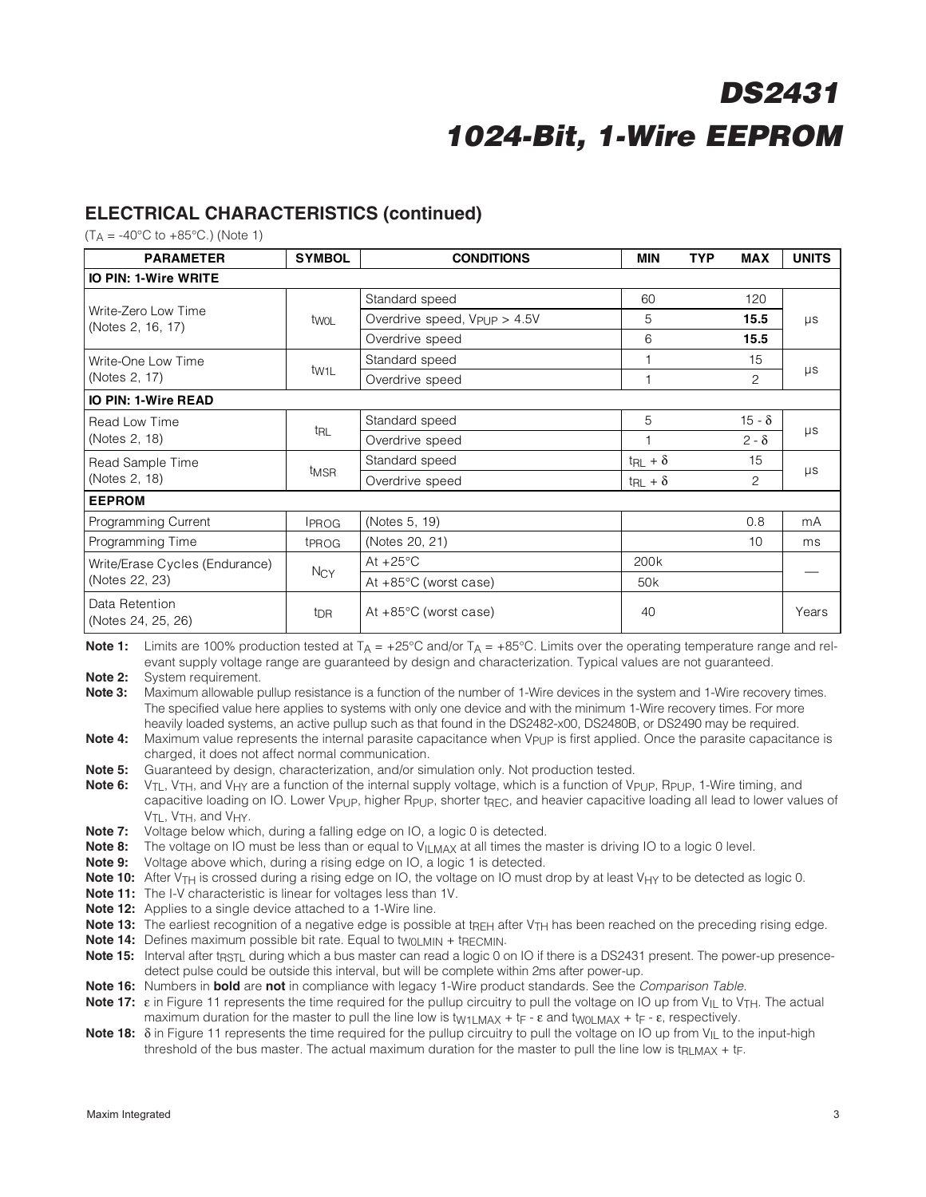### **ELECTRICAL CHARACTERISTICS (continued)**

 $(T_A = -40^{\circ}C \text{ to } +85^{\circ}C)$  (Note 1)

| <b>PARAMETER</b>                         | <b>SYMBOL</b>     | <b>CONDITIONS</b>                           | <b>MIN</b>               | <b>TYP</b> | <b>MAX</b>            | <b>UNITS</b> |  |  |  |
|------------------------------------------|-------------------|---------------------------------------------|--------------------------|------------|-----------------------|--------------|--|--|--|
| <b>IO PIN: 1-Wire WRITE</b>              |                   |                                             |                          |            |                       |              |  |  |  |
|                                          |                   | Standard speed                              | 60                       |            | 120                   | $\mu s$      |  |  |  |
| Write-Zero Low Time<br>(Notes 2, 16, 17) | twoL              | Overdrive speed, $V_{\text{Pl}}$ $p > 4.5V$ | 5                        |            | 15.5                  |              |  |  |  |
|                                          |                   | Overdrive speed                             | 6                        |            | 15.5                  |              |  |  |  |
| Write-One Low Time                       |                   | Standard speed                              |                          |            | 15                    |              |  |  |  |
| (Notes 2, 17)                            | tw <sub>1</sub> L | Overdrive speed                             | $\mathbf{1}$             |            | $\mathbf{2}^{\prime}$ | $\mu s$      |  |  |  |
| <b>IO PIN: 1-Wire READ</b>               |                   |                                             |                          |            |                       |              |  |  |  |
| Read Low Time                            | t <sub>RL</sub>   | Standard speed                              | 5                        |            | $15 - \delta$         |              |  |  |  |
| (Notes 2, 18)                            |                   | Overdrive speed                             |                          |            | $2 - \delta$          | $\mu s$      |  |  |  |
| Read Sample Time                         |                   | Standard speed                              | $t_{\text{RL}} + \delta$ |            | 15                    | μs           |  |  |  |
| (Notes 2, 18)                            | t <sub>MSR</sub>  | Overdrive speed                             | $t_{\text{RL}} + \delta$ |            | 2                     |              |  |  |  |
| <b>EEPROM</b>                            |                   |                                             |                          |            |                       |              |  |  |  |
| Programming Current                      | <b>IPROG</b>      | (Notes 5, 19)                               |                          |            | 0.8                   | mA           |  |  |  |
| Programming Time                         | t <sub>PROG</sub> | (Notes 20, 21)                              |                          |            | 10                    | ms           |  |  |  |
| Write/Erase Cycles (Endurance)           |                   | At $+25^{\circ}$ C                          | 200 <sub>k</sub>         |            |                       |              |  |  |  |
| (Notes 22, 23)                           | $N_{CY}$          | At $+85^{\circ}$ C (worst case)             | 50 <sub>k</sub>          |            |                       |              |  |  |  |
| Data Retention<br>(Notes 24, 25, 26)     | t <sub>DR</sub>   | At $+85^{\circ}$ C (worst case)             | 40                       |            |                       | Years        |  |  |  |

**Note 1:** Limits are 100% production tested at  $T_A = +25^{\circ}C$  and/or  $T_A = +85^{\circ}C$ . Limits over the operating temperature range and relevant supply voltage range are guaranteed by design and characterization. Typical values are not guaranteed.

**Note 2:** System requirement.

**Note 3:** Maximum allowable pullup resistance is a function of the number of 1-Wire devices in the system and 1-Wire recovery times. The specified value here applies to systems with only one device and with the minimum 1-Wire recovery times. For more heavily loaded systems, an active pullup such as that found in the DS2482-x00, DS2480B, or DS2490 may be required.

**Note 4:** Maximum value represents the internal parasite capacitance when V<sub>PUP</sub> is first applied. Once the parasite capacitance is charged, it does not affect normal communication.

**Note 5:** Guaranteed by design, characterization, and/or simulation only. Not production tested.

**Note 6:** V<sub>TL</sub>, V<sub>TH</sub>, and V<sub>HY</sub> are a function of the internal supply voltage, which is a function of V<sub>PUP</sub>, R<sub>PUP</sub>, 1-Wire timing, and capacitive loading on IO. Lower V<sub>PUP</sub>, higher R<sub>PUP</sub>, shorter t<sub>RFC</sub>, and heavier capacitive loading all lead to lower values of V<sub>TL</sub>, V<sub>TH</sub>, and V<sub>HY</sub>.

**Note 7:** Voltage below which, during a falling edge on IO, a logic 0 is detected.

**Note 8:** The voltage on IO must be less than or equal to V<sub>ILMAX</sub> at all times the master is driving IO to a logic 0 level.

**Note 9:** Voltage above which, during a rising edge on IO, a logic 1 is detected.

**Note 10:** After V<sub>TH</sub> is crossed during a rising edge on IO, the voltage on IO must drop by at least V<sub>HY</sub> to be detected as logic 0.

**Note 11:** The I-V characteristic is linear for voltages less than 1V.

**Note 12:** Applies to a single device attached to a 1-Wire line.

**Note 13:** The earliest recognition of a negative edge is possible at t<sub>REH</sub> after V<sub>TH</sub> has been reached on the preceding rising edge.

**Note 14:** Defines maximum possible bit rate. Equal to twoLMIN + tRECMIN.

Note 15: Interval after t<sub>RSTL</sub> during which a bus master can read a logic 0 on IO if there is a DS2431 present. The power-up presencedetect pulse could be outside this interval, but will be complete within 2ms after power-up.

**Note 16:** Numbers in **bold** are **not** in compliance with legacy 1-Wire product standards. See the Comparison Table.

**Note 17:** ε in Figure 11 represents the time required for the pullup circuitry to pull the voltage on IO up from V<sub>IL</sub> to V<sub>TH</sub>. The actual maximum duration for the master to pull the line low is  $t_{W1LMAX} + t_F - \varepsilon$  and  $t_{W0LMAX} + t_F - \varepsilon$ , respectively.

**Note 18:** δ in Figure 11 represents the time required for the pullup circuitry to pull the voltage on IO up from V<sub>II</sub> to the input-high threshold of the bus master. The actual maximum duration for the master to pull the line low is t<sub>RLMAX</sub> + t<sub>F</sub>.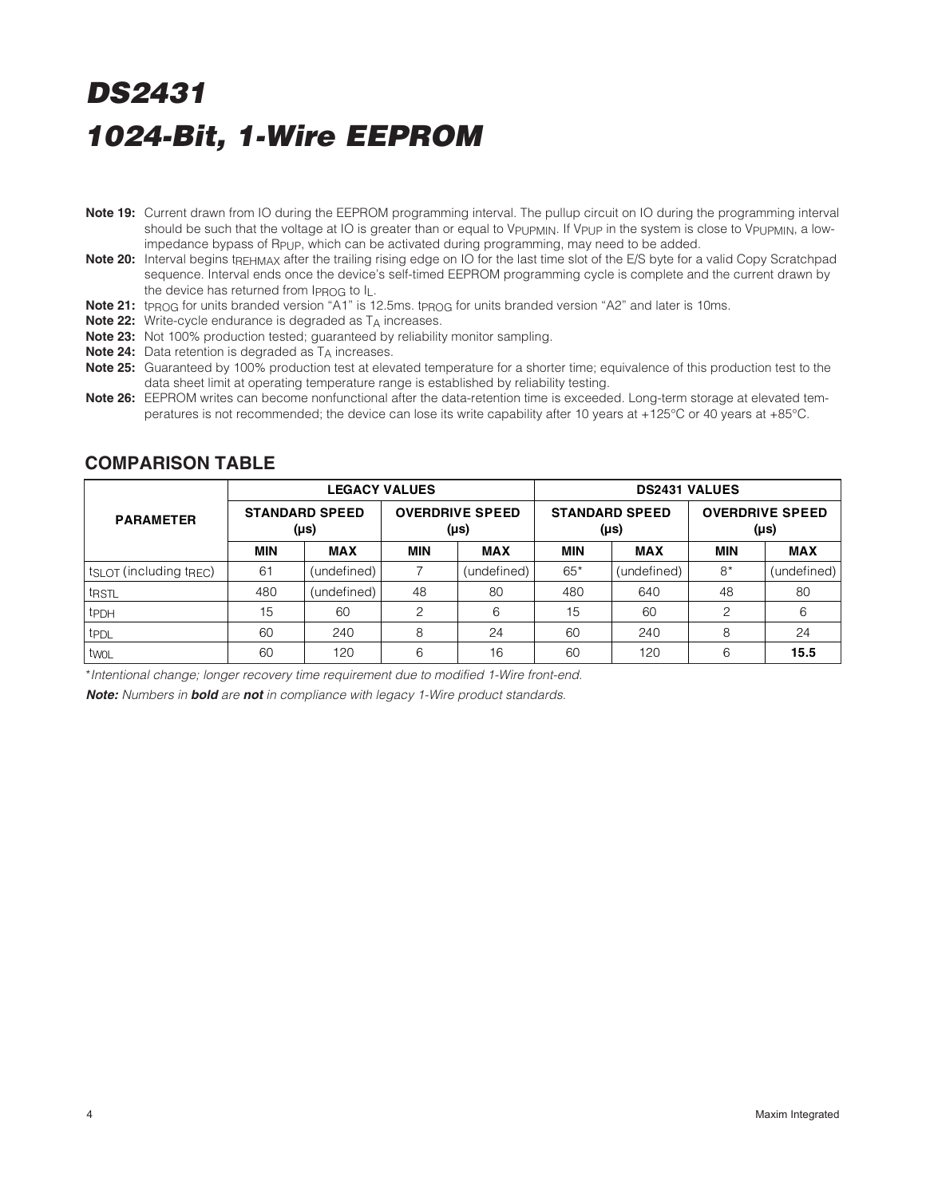- **Note 19:** Current drawn from IO during the EEPROM programming interval. The pullup circuit on IO during the programming interval should be such that the voltage at IO is greater than or equal to V<sub>PUPMIN</sub>. If V<sub>PUP</sub> in the system is close to V<sub>PUPMIN</sub>, a lowimpedance bypass of R<sub>PUP</sub>, which can be activated during programming, may need to be added.
- **Note 20:** Interval begins tREHMAX after the trailing rising edge on IO for the last time slot of the E/S byte for a valid Copy Scratchpad sequence. Interval ends once the device's self-timed EEPROM programming cycle is complete and the current drawn by the device has returned from IPROG to IL.
- Note 21: t<sub>PROG</sub> for units branded version "A1" is 12.5ms. t<sub>PROG</sub> for units branded version "A2" and later is 10ms.
- **Note 22:** Write-cycle endurance is degraded as TA increases.
- **Note 23:** Not 100% production tested; guaranteed by reliability monitor sampling.
- **Note 24:** Data retention is degraded as T<sub>A</sub> increases.
- **Note 25:** Guaranteed by 100% production test at elevated temperature for a shorter time; equivalence of this production test to the data sheet limit at operating temperature range is established by reliability testing.
- **Note 26:** EEPROM writes can become nonfunctional after the data-retention time is exceeded. Long-term storage at elevated temperatures is not recommended; the device can lose its write capability after 10 years at +125°C or 40 years at +85°C.

|                                   |                               | <b>LEGACY VALUES</b> |                                     |             | <b>DS2431 VALUES</b>          |             |                                |             |  |
|-----------------------------------|-------------------------------|----------------------|-------------------------------------|-------------|-------------------------------|-------------|--------------------------------|-------------|--|
| <b>PARAMETER</b>                  | <b>STANDARD SPEED</b><br>(µs) |                      | <b>OVERDRIVE SPEED</b><br>$(\mu s)$ |             | <b>STANDARD SPEED</b><br>(µs) |             | <b>OVERDRIVE SPEED</b><br>(µs) |             |  |
|                                   | <b>MIN</b>                    | <b>MAX</b>           | <b>MIN</b>                          | <b>MAX</b>  | <b>MIN</b>                    | <b>MAX</b>  | <b>MIN</b>                     | <b>MAX</b>  |  |
| $t_{SLOT}$ (including $t_{REC}$ ) | 61                            | (undefined)          |                                     | (undefined) | $65*$                         | (undefined) | $8*$                           | (undefined) |  |
| t <sub>RSTL</sub>                 | 480                           | (undefined)          | 48                                  | 80          | 480                           | 640         | 48                             | 80          |  |
| t <sub>PDH</sub>                  | 15                            | 60                   | 2                                   | 6           | 15                            | 60          | $\mathcal{P}$                  | 6           |  |
| t <sub>PDL</sub>                  | 60                            | 240                  | 8                                   | 24          | 60                            | 240         | 8                              | 24          |  |
| twol                              | 60                            | 120                  | 6                                   | 16          | 60                            | 120         | 6                              | 15.5        |  |

#### **COMPARISON TABLE**

\*Intentional change; longer recovery time requirement due to modified 1-Wire front-end.

**Note:** Numbers in **bold** are **not** in compliance with legacy 1-Wire product standards.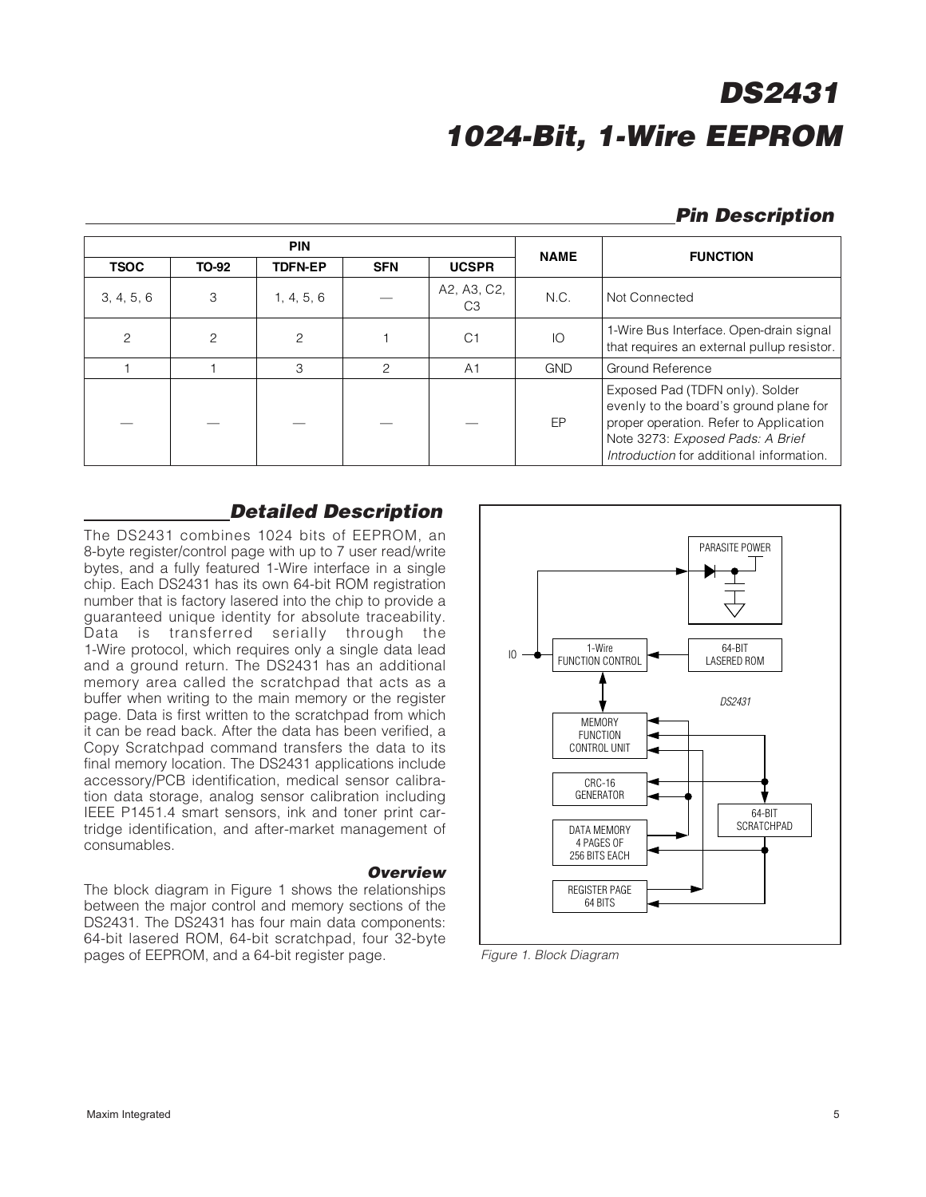### **Pin Description**

|                | <b>PIN</b> |                |               |                   |             | <b>FUNCTION</b>                                                                                                                                                                                     |  |
|----------------|------------|----------------|---------------|-------------------|-------------|-----------------------------------------------------------------------------------------------------------------------------------------------------------------------------------------------------|--|
| <b>TSOC</b>    | TO-92      | <b>TDFN-EP</b> | <b>SFN</b>    | <b>UCSPR</b>      | <b>NAME</b> |                                                                                                                                                                                                     |  |
| 3, 4, 5, 6     | 3          | 1, 4, 5, 6     |               | A2, A3, C2,<br>C3 | N.C.        | Not Connected                                                                                                                                                                                       |  |
| $\overline{c}$ | 2          | 2              |               | C <sub>1</sub>    | IO          | 1-Wire Bus Interface. Open-drain signal<br>that requires an external pullup resistor.                                                                                                               |  |
|                |            | З              | $\mathcal{P}$ | A1                | <b>GND</b>  | Ground Reference                                                                                                                                                                                    |  |
|                |            |                |               |                   | EP          | Exposed Pad (TDFN only). Solder<br>evenly to the board's ground plane for<br>proper operation. Refer to Application<br>Note 3273: Exposed Pads: A Brief<br>Introduction for additional information. |  |

### **Detailed Description**

The DS2431 combines 1024 bits of EEPROM, an 8-byte register/control page with up to 7 user read/write bytes, and a fully featured 1-Wire interface in a single chip. Each DS2431 has its own 64-bit ROM registration number that is factory lasered into the chip to provide a guaranteed unique identity for absolute traceability. Data is transferred serially through the 1-Wire protocol, which requires only a single data lead and a ground return. The DS2431 has an additional memory area called the scratchpad that acts as a buffer when writing to the main memory or the register page. Data is first written to the scratchpad from which it can be read back. After the data has been verified, a Copy Scratchpad command transfers the data to its final memory location. The DS2431 applications include accessory/PCB identification, medical sensor calibration data storage, analog sensor calibration including IEEE P1451.4 smart sensors, ink and toner print cartridge identification, and after-market management of consumables.

#### **Overview**

The block diagram in Figure 1 shows the relationships between the major control and memory sections of the DS2431. The DS2431 has four main data components: 64-bit lasered ROM, 64-bit scratchpad, four 32-byte pages of EEPROM, and a 64-bit register page.



Figure 1. Block Diagram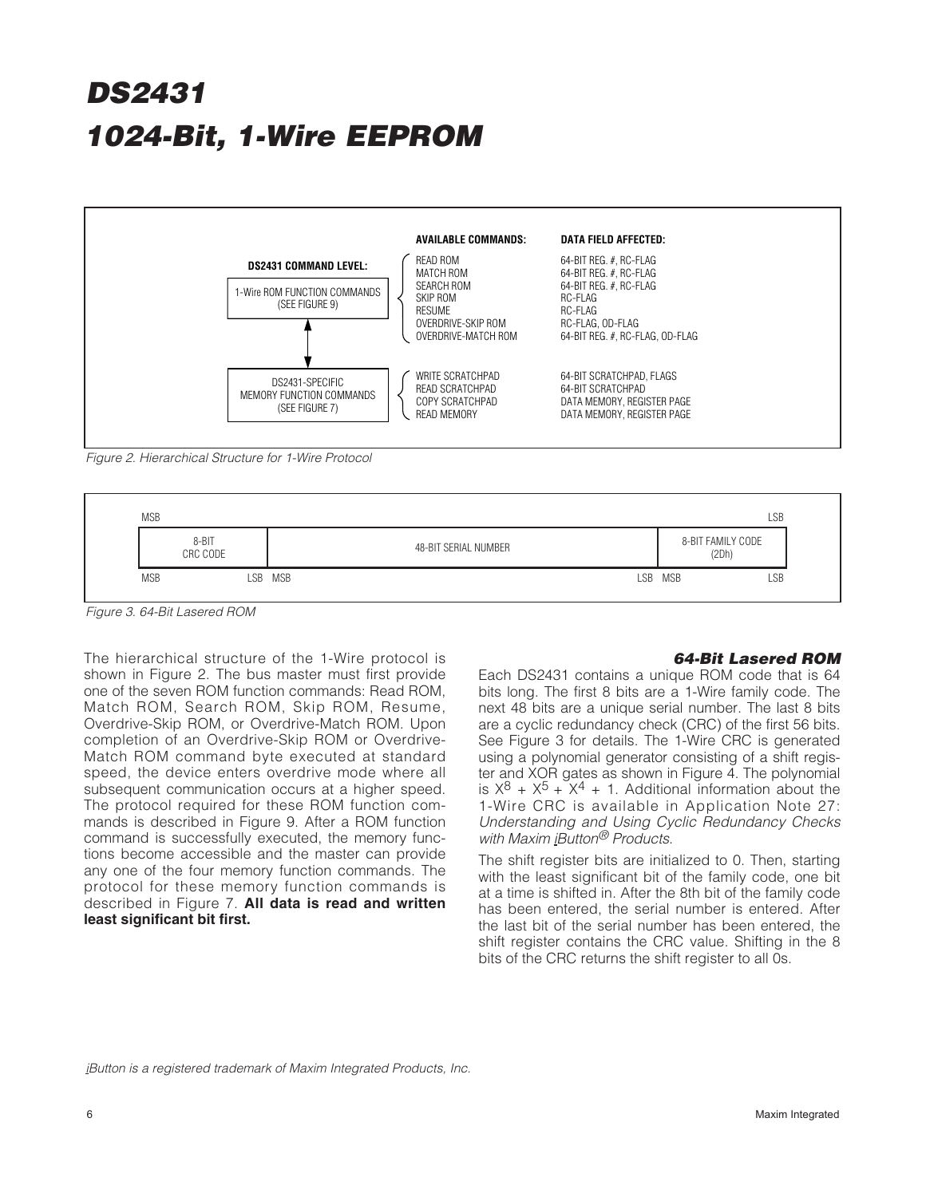

Figure 2. Hierarchical Structure for 1-Wire Protocol



Figure 3. 64-Bit Lasered ROM

The hierarchical structure of the 1-Wire protocol is shown in Figure 2. The bus master must first provide one of the seven ROM function commands: Read ROM, Match ROM, Search ROM, Skip ROM, Resume, Overdrive-Skip ROM, or Overdrive-Match ROM. Upon completion of an Overdrive-Skip ROM or Overdrive-Match ROM command byte executed at standard speed, the device enters overdrive mode where all subsequent communication occurs at a higher speed. The protocol required for these ROM function commands is described in Figure 9. After a ROM function command is successfully executed, the memory functions become accessible and the master can provide any one of the four memory function commands. The protocol for these memory function commands is described in Figure 7. **All data is read and written least significant bit first.**

#### **64-Bit Lasered ROM**

Each DS2431 contains a unique ROM code that is 64 bits long. The first 8 bits are a 1-Wire family code. The next 48 bits are a unique serial number. The last 8 bits are a cyclic redundancy check (CRC) of the first 56 bits. See Figure 3 for details. The 1-Wire CRC is generated using a polynomial generator consisting of a shift register and XOR gates as shown in Figure 4. The polynomial is  $X^8 + X^5 + X^4 + 1$ . Additional information about the 1-Wire CRC is available in Application Note 27: Understanding and Using Cyclic Redundancy Checks with Maxim iButton<sup>®</sup> Products.

The shift register bits are initialized to 0. Then, starting with the least significant bit of the family code, one bit at a time is shifted in. After the 8th bit of the family code has been entered, the serial number is entered. After the last bit of the serial number has been entered, the shift register contains the CRC value. Shifting in the 8 bits of the CRC returns the shift register to all 0s.

iButton is a registered trademark of Maxim Integrated Products, Inc.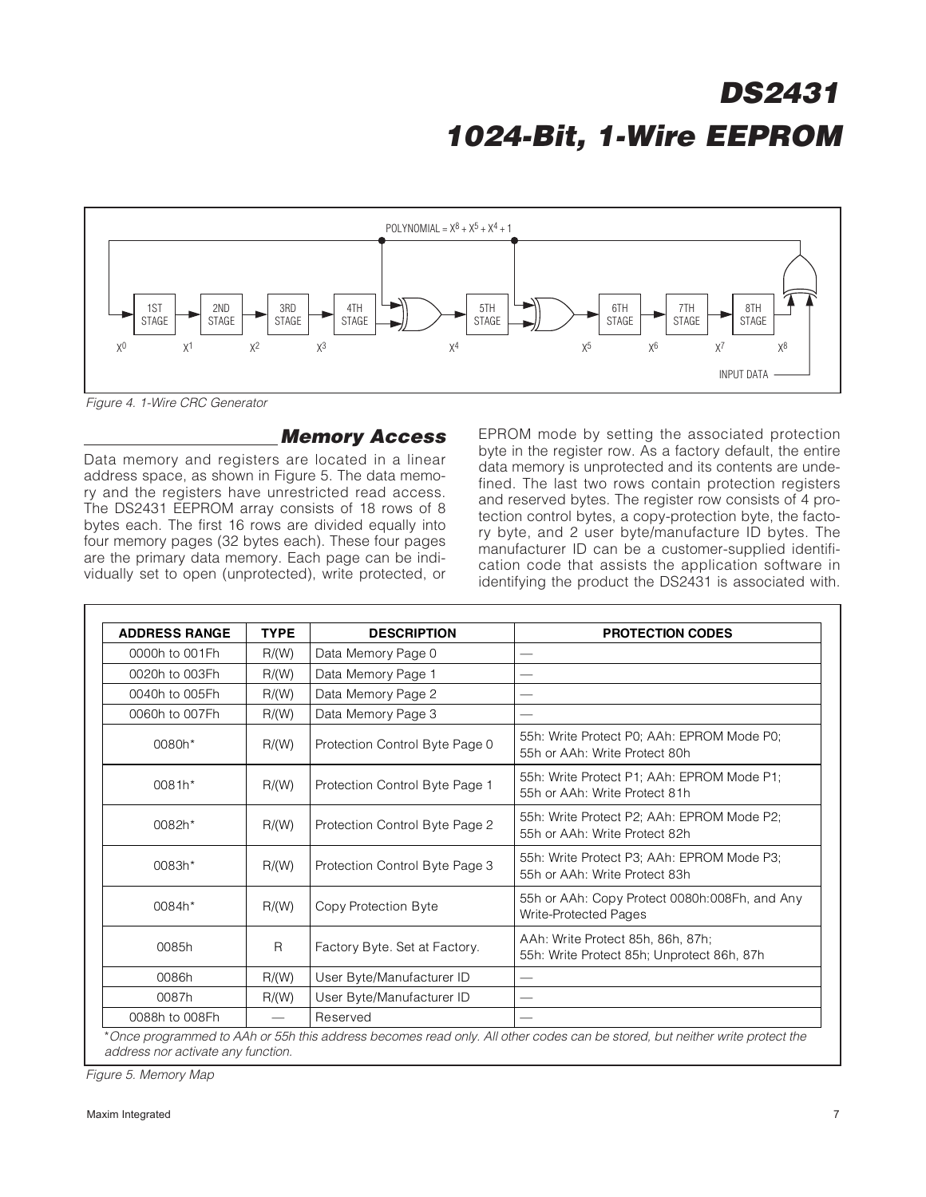

Figure 4. 1-Wire CRC Generator

#### **Memory Access**

Data memory and registers are located in a linear address space, as shown in Figure 5. The data memory and the registers have unrestricted read access. The DS2431 EEPROM array consists of 18 rows of 8 bytes each. The first 16 rows are divided equally into four memory pages (32 bytes each). These four pages are the primary data memory. Each page can be individually set to open (unprotected), write protected, or EPROM mode by setting the associated protection byte in the register row. As a factory default, the entire data memory is unprotected and its contents are undefined. The last two rows contain protection registers and reserved bytes. The register row consists of 4 protection control bytes, a copy-protection byte, the factory byte, and 2 user byte/manufacture ID bytes. The manufacturer ID can be a customer-supplied identification code that assists the application software in identifying the product the DS2431 is associated with.

| <b>ADDRESS RANGE</b> | <b>TYPE</b>                             | <b>DESCRIPTION</b>             | <b>PROTECTION CODES</b>                                                         |
|----------------------|-----------------------------------------|--------------------------------|---------------------------------------------------------------------------------|
| 0000h to 001Fh       | R/(W)                                   | Data Memory Page 0             |                                                                                 |
| 0020h to 003Fh       | R/(W)                                   | Data Memory Page 1             |                                                                                 |
| 0040h to 005Fh       | R/(W)                                   | Data Memory Page 2             |                                                                                 |
| 0060h to 007Fh       | R/(W)                                   | Data Memory Page 3             |                                                                                 |
| 0080h*               | R/(W)                                   | Protection Control Byte Page 0 | 55h: Write Protect P0; AAh: EPROM Mode P0;<br>55h or AAh: Write Protect 80h     |
| 0081h*               | R/(W)<br>Protection Control Byte Page 1 |                                | 55h: Write Protect P1; AAh: EPROM Mode P1;<br>55h or AAh: Write Protect 81h     |
| 0082h*               | R/(W)                                   | Protection Control Byte Page 2 | 55h: Write Protect P2; AAh: EPROM Mode P2;<br>55h or AAh: Write Protect 82h     |
| 0083h*               | R/(W)                                   | Protection Control Byte Page 3 | 55h: Write Protect P3; AAh: EPROM Mode P3;<br>55h or AAh: Write Protect 83h     |
| 0084h*               | R/(W)                                   | Copy Protection Byte           | 55h or AAh: Copy Protect 0080h:008Fh, and Any<br>Write-Protected Pages          |
| 0085h                | R                                       | Factory Byte. Set at Factory.  | AAh: Write Protect 85h, 86h, 87h;<br>55h: Write Protect 85h; Unprotect 86h, 87h |
| 0086h                | R/(W)                                   | User Byte/Manufacturer ID      |                                                                                 |
| 0087h                | R/(W)                                   | User Byte/Manufacturer ID      |                                                                                 |
| 0088h to 008Fh       |                                         | Reserved                       |                                                                                 |

address nor activate any function.

Figure 5. Memory Map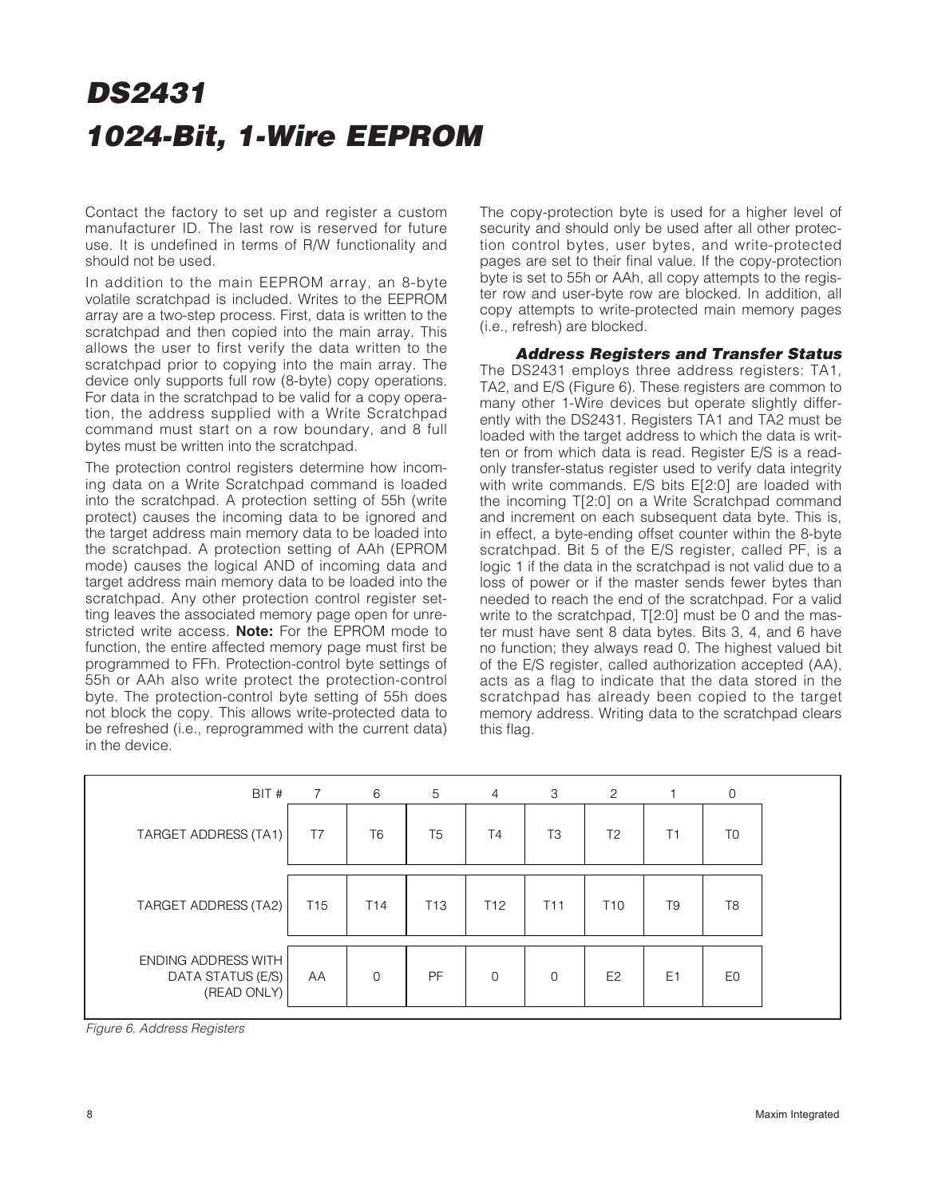Contact the factory to set up and register a custom manufacturer ID. The last row is reserved for future use. It is undefined in terms of R/W functionality and should not be used.

In addition to the main EEPROM array, an 8-byte volatile scratchpad is included. Writes to the EEPROM array are a two-step process. First, data is written to the scratchpad and then copied into the main array. This allows the user to first verify the data written to the scratchpad prior to copying into the main array. The device only supports full row (8-byte) copy operations. For data in the scratchpad to be valid for a copy operation, the address supplied with a Write Scratchpad command must start on a row boundary, and 8 full bytes must be written into the scratchpad.

The protection control registers determine how incoming data on a Write Scratchpad command is loaded into the scratchpad. A protection setting of 55h (write protect) causes the incoming data to be ignored and the target address main memory data to be loaded into the scratchpad. A protection setting of AAh (EPROM mode) causes the logical AND of incoming data and target address main memory data to be loaded into the scratchpad. Any other protection control register setting leaves the associated memory page open for unrestricted write access. **Note:** For the EPROM mode to function, the entire affected memory page must first be programmed to FFh. Protection-control byte settings of 55h or AAh also write protect the protection-control byte. The protection-control byte setting of 55h does not block the copy. This allows write-protected data to be refreshed (i.e., reprogrammed with the current data) in the device.

The copy-protection byte is used for a higher level of security and should only be used after all other protection control bytes, user bytes, and write-protected pages are set to their final value. If the copy-protection byte is set to 55h or AAh, all copy attempts to the register row and user-byte row are blocked. In addition, all copy attempts to write-protected main memory pages (i.e., refresh) are blocked.

#### **Address Registers and Transfer Status**

The DS2431 employs three address registers: TA1, TA2, and E/S (Figure 6). These registers are common to many other 1-Wire devices but operate slightly differently with the DS2431. Registers TA1 and TA2 must be loaded with the target address to which the data is written or from which data is read. Register E/S is a readonly transfer-status register used to verify data integrity with write commands. E/S bits E[2:0] are loaded with the incoming T[2:0] on a Write Scratchpad command and increment on each subsequent data byte. This is, in effect, a byte-ending offset counter within the 8-byte scratchpad. Bit 5 of the E/S register, called PF, is a logic 1 if the data in the scratchpad is not valid due to a loss of power or if the master sends fewer bytes than needed to reach the end of the scratchpad. For a valid write to the scratchpad, T[2:0] must be 0 and the master must have sent 8 data bytes. Bits 3, 4, and 6 have no function; they always read 0. The highest valued bit of the E/S register, called authorization accepted (AA), acts as a flag to indicate that the data stored in the scratchpad has already been copied to the target memory address. Writing data to the scratchpad clears this flag.

| BIT #                                                   | $\overline{7}$  | 6               | $5\overline{)}$ | $\overline{4}$  | 3               | 2               |                | 0              |
|---------------------------------------------------------|-----------------|-----------------|-----------------|-----------------|-----------------|-----------------|----------------|----------------|
| TARGET ADDRESS (TA1)                                    | T7              | T <sub>6</sub>  | T <sub>5</sub>  | T <sub>4</sub>  | T <sub>3</sub>  | T <sub>2</sub>  | Τ1             | T <sub>0</sub> |
| TARGET ADDRESS (TA2)                                    | T <sub>15</sub> | T <sub>14</sub> | T <sub>13</sub> | T <sub>12</sub> | T <sub>11</sub> | T <sub>10</sub> | T <sub>9</sub> | T <sub>8</sub> |
| ENDING ADDRESS WITH<br>DATA STATUS (E/S)<br>(READ ONLY) | AA              | $\mathbf 0$     | <b>PF</b>       | $\mathbf 0$     | $\overline{0}$  | E <sub>2</sub>  | E <sub>1</sub> | E0             |

Figure 6. Address Registers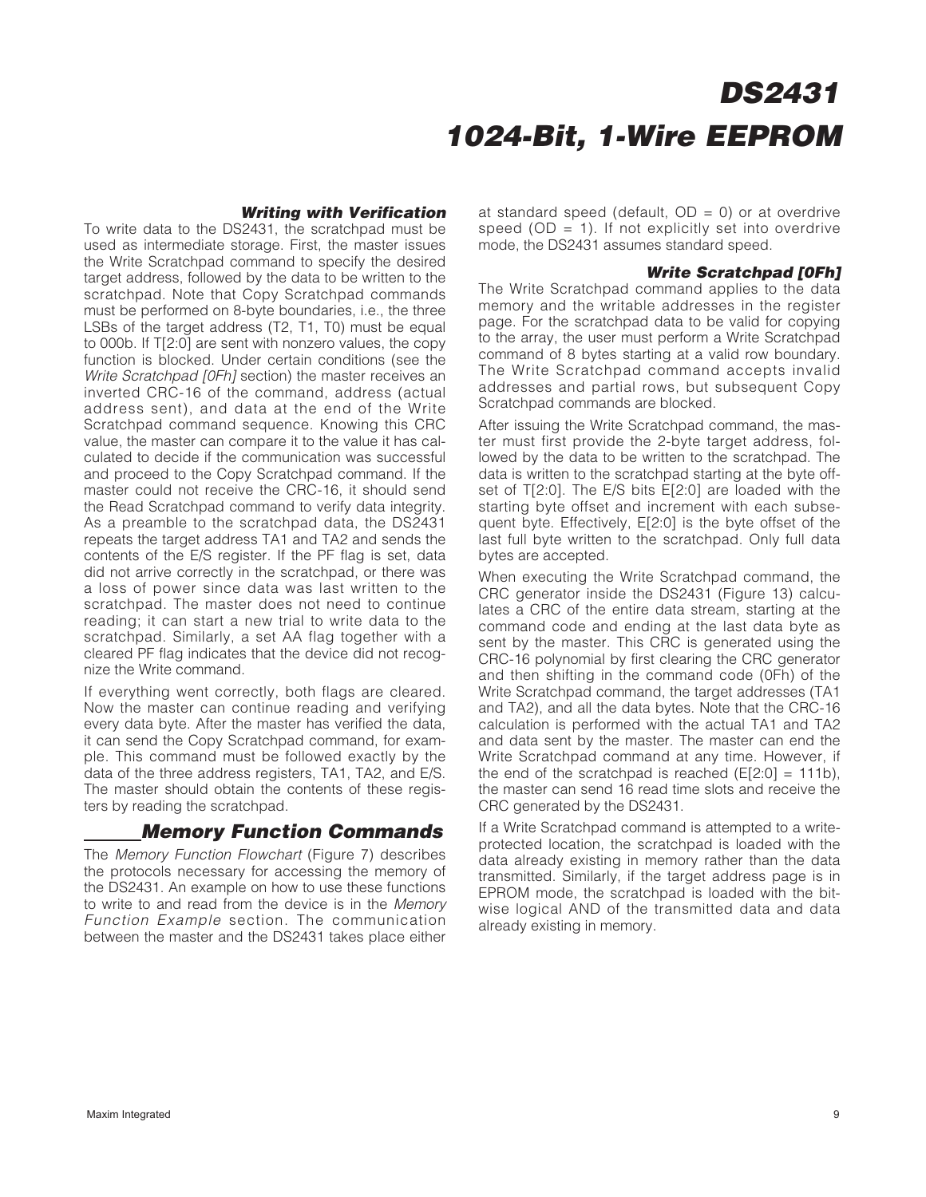#### **Writing with Verification**

To write data to the DS2431, the scratchpad must be used as intermediate storage. First, the master issues the Write Scratchpad command to specify the desired target address, followed by the data to be written to the scratchpad. Note that Copy Scratchpad commands must be performed on 8-byte boundaries, i.e., the three LSBs of the target address (T2, T1, T0) must be equal to 000b. If T[2:0] are sent with nonzero values, the copy function is blocked. Under certain conditions (see the Write Scratchpad [0Fh] section) the master receives an inverted CRC-16 of the command, address (actual address sent), and data at the end of the Write Scratchpad command sequence. Knowing this CRC value, the master can compare it to the value it has calculated to decide if the communication was successful and proceed to the Copy Scratchpad command. If the master could not receive the CRC-16, it should send the Read Scratchpad command to verify data integrity. As a preamble to the scratchpad data, the DS2431 repeats the target address TA1 and TA2 and sends the contents of the E/S register. If the PF flag is set, data did not arrive correctly in the scratchpad, or there was a loss of power since data was last written to the scratchpad. The master does not need to continue reading; it can start a new trial to write data to the scratchpad. Similarly, a set AA flag together with a cleared PF flag indicates that the device did not recognize the Write command.

If everything went correctly, both flags are cleared. Now the master can continue reading and verifying every data byte. After the master has verified the data, it can send the Copy Scratchpad command, for example. This command must be followed exactly by the data of the three address registers, TA1, TA2, and E/S. The master should obtain the contents of these registers by reading the scratchpad.

### **Memory Function Commands**

The Memory Function Flowchart (Figure 7) describes the protocols necessary for accessing the memory of the DS2431. An example on how to use these functions to write to and read from the device is in the Memory Function Example section. The communication between the master and the DS2431 takes place either

at standard speed (default,  $OD = 0$ ) or at overdrive speed ( $OD = 1$ ). If not explicitly set into overdrive mode, the DS2431 assumes standard speed.

#### **Write Scratchpad [0Fh]**

The Write Scratchpad command applies to the data memory and the writable addresses in the register page. For the scratchpad data to be valid for copying to the array, the user must perform a Write Scratchpad command of 8 bytes starting at a valid row boundary. The Write Scratchpad command accepts invalid addresses and partial rows, but subsequent Copy Scratchpad commands are blocked.

After issuing the Write Scratchpad command, the master must first provide the 2-byte target address, followed by the data to be written to the scratchpad. The data is written to the scratchpad starting at the byte offset of T[2:0]. The E/S bits E[2:0] are loaded with the starting byte offset and increment with each subsequent byte. Effectively, E[2:0] is the byte offset of the last full byte written to the scratchpad. Only full data bytes are accepted.

When executing the Write Scratchpad command, the CRC generator inside the DS2431 (Figure 13) calculates a CRC of the entire data stream, starting at the command code and ending at the last data byte as sent by the master. This CRC is generated using the CRC-16 polynomial by first clearing the CRC generator and then shifting in the command code (0Fh) of the Write Scratchpad command, the target addresses (TA1 and TA2), and all the data bytes. Note that the CRC-16 calculation is performed with the actual TA1 and TA2 and data sent by the master. The master can end the Write Scratchpad command at any time. However, if the end of the scratchpad is reached  $(E[2:0] = 111b)$ , the master can send 16 read time slots and receive the CRC generated by the DS2431.

If a Write Scratchpad command is attempted to a writeprotected location, the scratchpad is loaded with the data already existing in memory rather than the data transmitted. Similarly, if the target address page is in EPROM mode, the scratchpad is loaded with the bitwise logical AND of the transmitted data and data already existing in memory.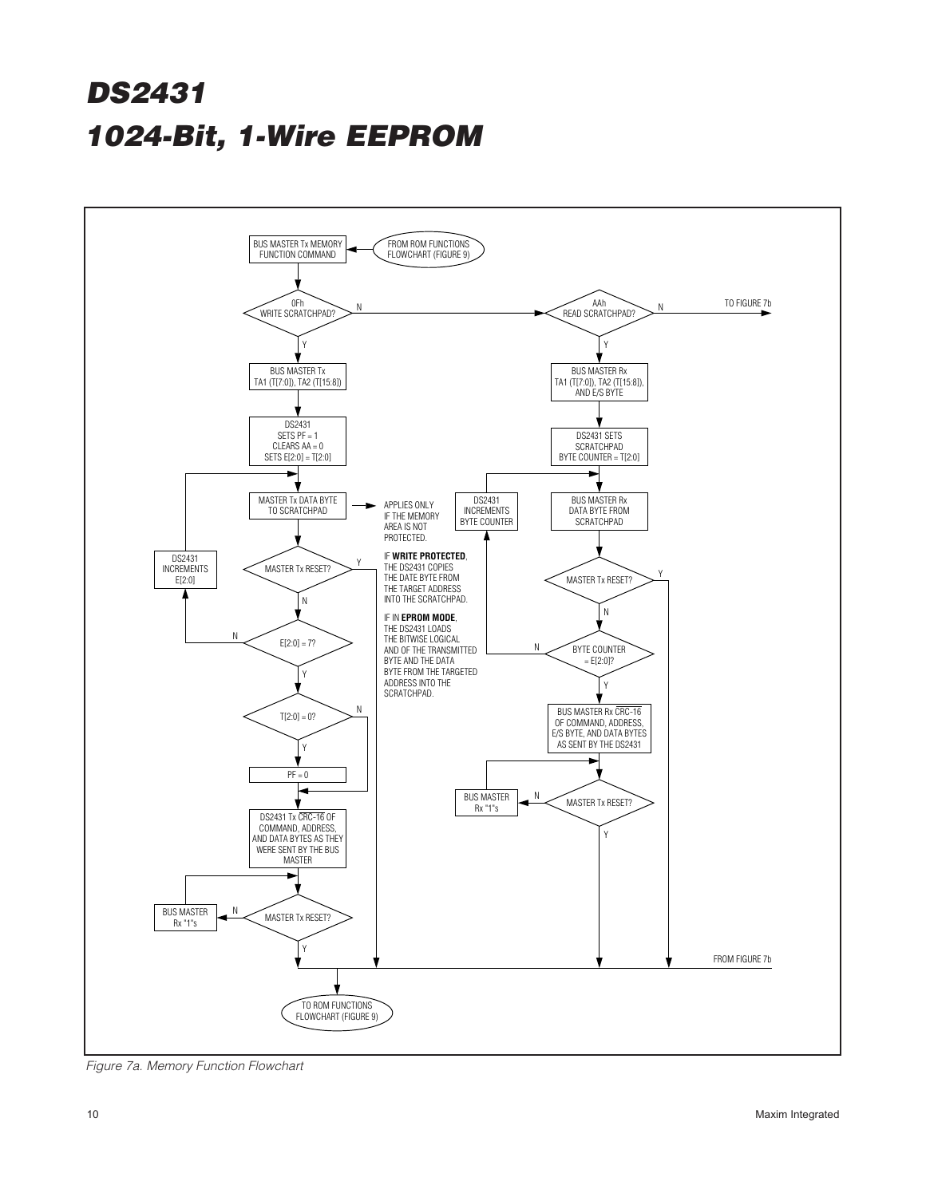

Figure 7a. Memory Function Flowchart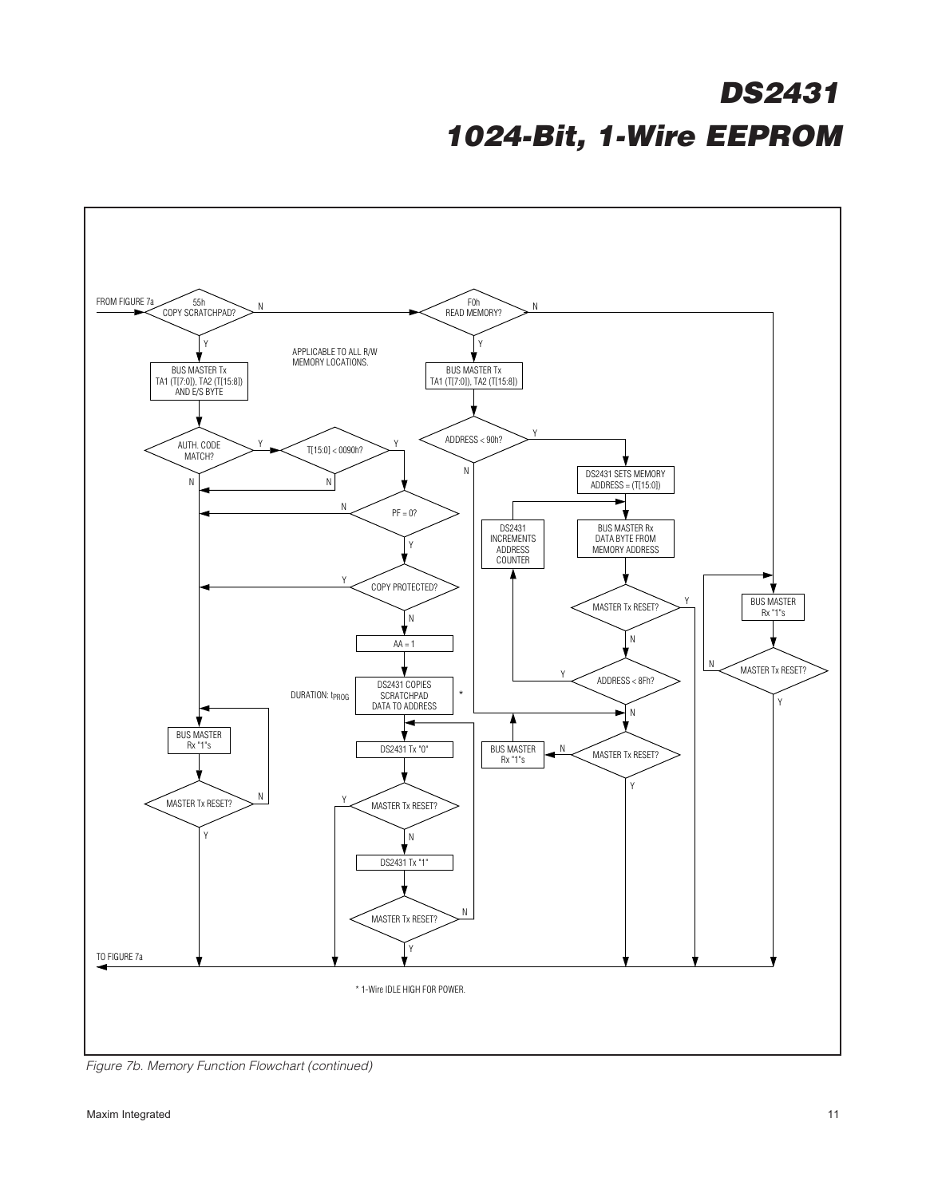

Figure 7b. Memory Function Flowchart (continued)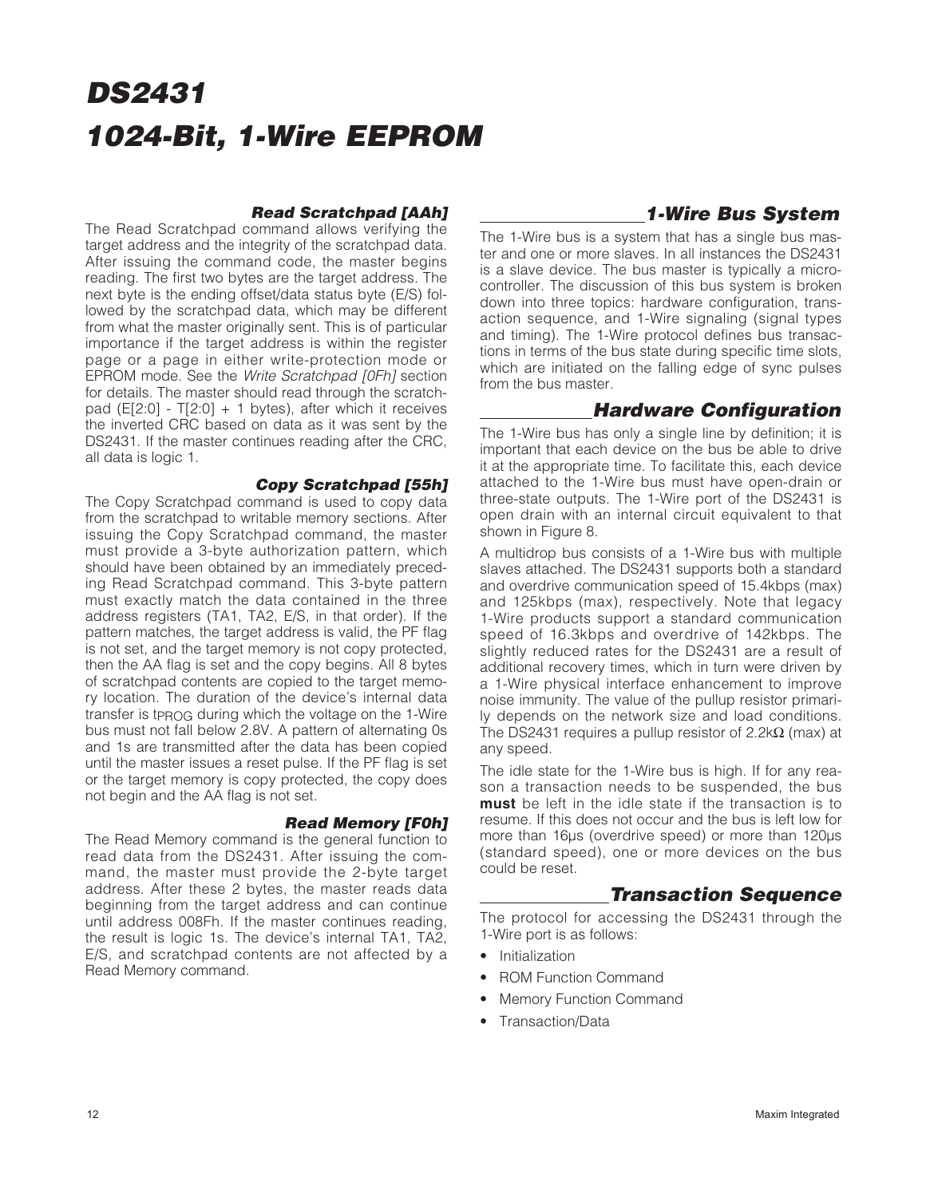#### **Read Scratchpad [AAh]**

The Read Scratchpad command allows verifying the target address and the integrity of the scratchpad data. After issuing the command code, the master begins reading. The first two bytes are the target address. The next byte is the ending offset/data status byte (E/S) followed by the scratchpad data, which may be different from what the master originally sent. This is of particular importance if the target address is within the register page or a page in either write-protection mode or EPROM mode. See the Write Scratchpad [OFh] section for details. The master should read through the scratchpad ( $E[2:0]$  - T[2:0] + 1 bytes), after which it receives the inverted CRC based on data as it was sent by the DS2431. If the master continues reading after the CRC, all data is logic 1.

#### **Copy Scratchpad [55h]**

The Copy Scratchpad command is used to copy data from the scratchpad to writable memory sections. After issuing the Copy Scratchpad command, the master must provide a 3-byte authorization pattern, which should have been obtained by an immediately preceding Read Scratchpad command. This 3-byte pattern must exactly match the data contained in the three address registers (TA1, TA2, E/S, in that order). If the pattern matches, the target address is valid, the PF flag is not set, and the target memory is not copy protected, then the AA flag is set and the copy begins. All 8 bytes of scratchpad contents are copied to the target memory location. The duration of the device's internal data transfer is tPROG during which the voltage on the 1-Wire bus must not fall below 2.8V. A pattern of alternating 0s and 1s are transmitted after the data has been copied until the master issues a reset pulse. If the PF flag is set or the target memory is copy protected, the copy does not begin and the AA flag is not set.

#### **Read Memory [F0h]**

The Read Memory command is the general function to read data from the DS2431. After issuing the command, the master must provide the 2-byte target address. After these 2 bytes, the master reads data beginning from the target address and can continue until address 008Fh. If the master continues reading, the result is logic 1s. The device's internal TA1, TA2, E/S, and scratchpad contents are not affected by a Read Memory command.

### **1-Wire Bus System**

The 1-Wire bus is a system that has a single bus master and one or more slaves. In all instances the DS2431 is a slave device. The bus master is typically a microcontroller. The discussion of this bus system is broken down into three topics: hardware configuration, transaction sequence, and 1-Wire signaling (signal types and timing). The 1-Wire protocol defines bus transactions in terms of the bus state during specific time slots, which are initiated on the falling edge of sync pulses from the bus master.

### **Hardware Configuration**

The 1-Wire bus has only a single line by definition; it is important that each device on the bus be able to drive it at the appropriate time. To facilitate this, each device attached to the 1-Wire bus must have open-drain or three-state outputs. The 1-Wire port of the DS2431 is open drain with an internal circuit equivalent to that shown in Figure 8.

A multidrop bus consists of a 1-Wire bus with multiple slaves attached. The DS2431 supports both a standard and overdrive communication speed of 15.4kbps (max) and 125kbps (max), respectively. Note that legacy 1-Wire products support a standard communication speed of 16.3kbps and overdrive of 142kbps. The slightly reduced rates for the DS2431 are a result of additional recovery times, which in turn were driven by a 1-Wire physical interface enhancement to improve noise immunity. The value of the pullup resistor primarily depends on the network size and load conditions. The DS2431 requires a pullup resistor of 2.2kΩ (max) at any speed.

The idle state for the 1-Wire bus is high. If for any reason a transaction needs to be suspended, the bus **must** be left in the idle state if the transaction is to resume. If this does not occur and the bus is left low for more than 16µs (overdrive speed) or more than 120µs (standard speed), one or more devices on the bus could be reset.

### **Transaction Sequence**

The protocol for accessing the DS2431 through the 1-Wire port is as follows:

- Initialization
- ROM Function Command
- Memory Function Command
- Transaction/Data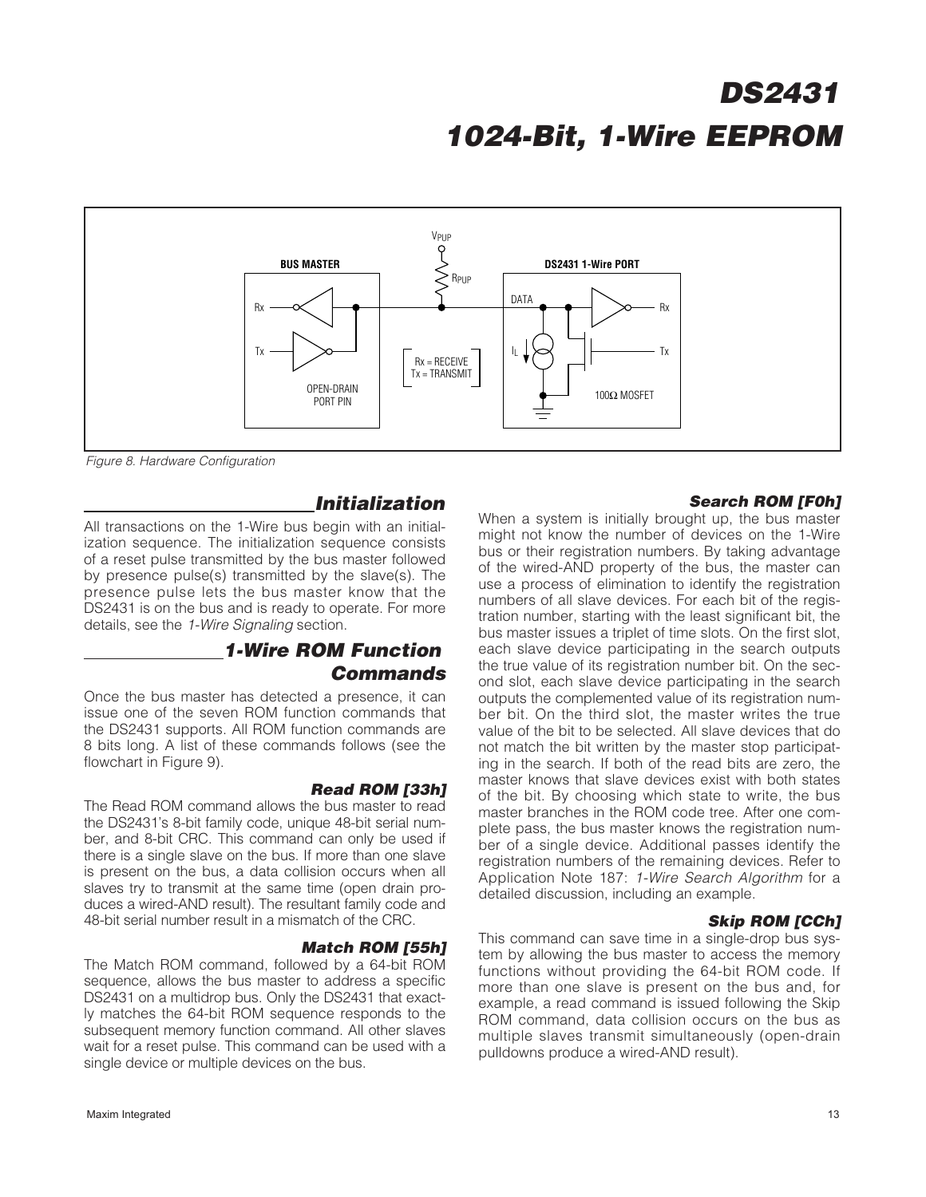

Figure 8. Hardware Configuration

#### **Initialization**

All transactions on the 1-Wire bus begin with an initialization sequence. The initialization sequence consists of a reset pulse transmitted by the bus master followed by presence pulse(s) transmitted by the slave(s). The presence pulse lets the bus master know that the DS2431 is on the bus and is ready to operate. For more details, see the 1-Wire Signaling section.

### **1-Wire ROM Function Commands**

Once the bus master has detected a presence, it can issue one of the seven ROM function commands that the DS2431 supports. All ROM function commands are 8 bits long. A list of these commands follows (see the flowchart in Figure 9).

#### **Read ROM [33h]**

The Read ROM command allows the bus master to read the DS2431's 8-bit family code, unique 48-bit serial number, and 8-bit CRC. This command can only be used if there is a single slave on the bus. If more than one slave is present on the bus, a data collision occurs when all slaves try to transmit at the same time (open drain produces a wired-AND result). The resultant family code and 48-bit serial number result in a mismatch of the CRC.

#### **Match ROM [55h]**

The Match ROM command, followed by a 64-bit ROM sequence, allows the bus master to address a specific DS2431 on a multidrop bus. Only the DS2431 that exactly matches the 64-bit ROM sequence responds to the subsequent memory function command. All other slaves wait for a reset pulse. This command can be used with a single device or multiple devices on the bus.

#### **Search ROM [F0h]**

When a system is initially brought up, the bus master might not know the number of devices on the 1-Wire bus or their registration numbers. By taking advantage of the wired-AND property of the bus, the master can use a process of elimination to identify the registration numbers of all slave devices. For each bit of the registration number, starting with the least significant bit, the bus master issues a triplet of time slots. On the first slot, each slave device participating in the search outputs the true value of its registration number bit. On the second slot, each slave device participating in the search outputs the complemented value of its registration number bit. On the third slot, the master writes the true value of the bit to be selected. All slave devices that do not match the bit written by the master stop participating in the search. If both of the read bits are zero, the master knows that slave devices exist with both states of the bit. By choosing which state to write, the bus master branches in the ROM code tree. After one complete pass, the bus master knows the registration number of a single device. Additional passes identify the registration numbers of the remaining devices. Refer to Application Note 187: 1-Wire Search Algorithm for a detailed discussion, including an example.

#### **Skip ROM [CCh]**

This command can save time in a single-drop bus system by allowing the bus master to access the memory functions without providing the 64-bit ROM code. If more than one slave is present on the bus and, for example, a read command is issued following the Skip ROM command, data collision occurs on the bus as multiple slaves transmit simultaneously (open-drain pulldowns produce a wired-AND result).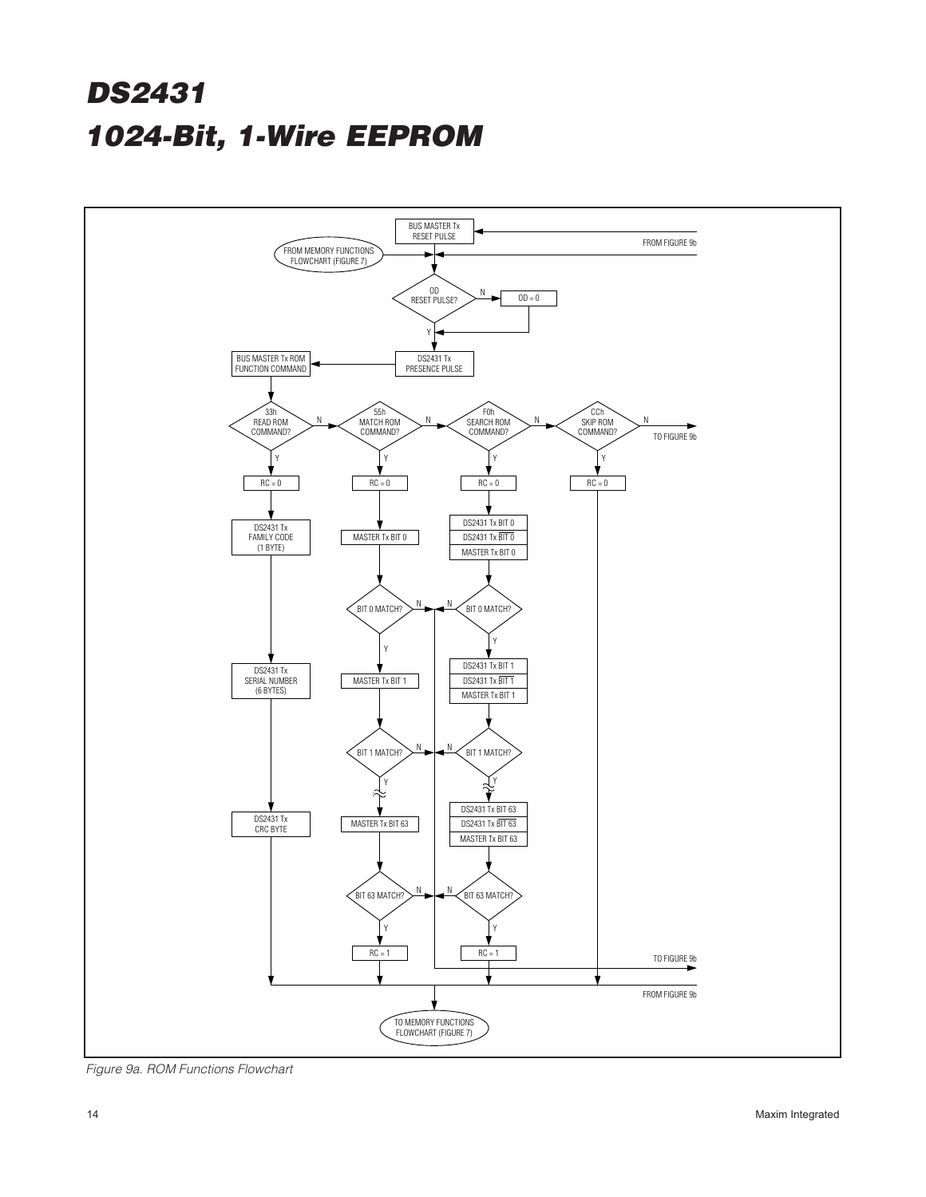

Figure 9a. ROM Functions Flowchart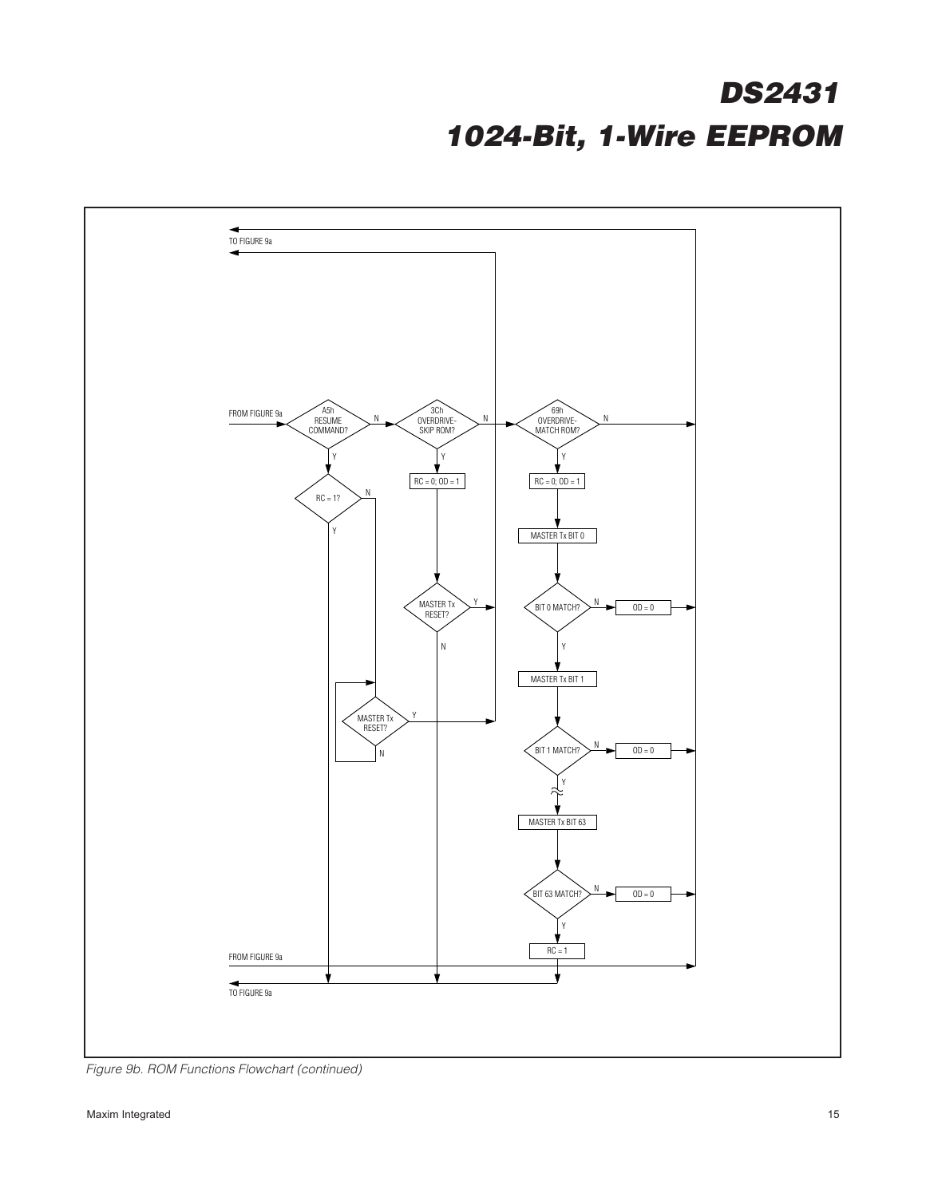

Figure 9b. ROM Functions Flowchart (continued)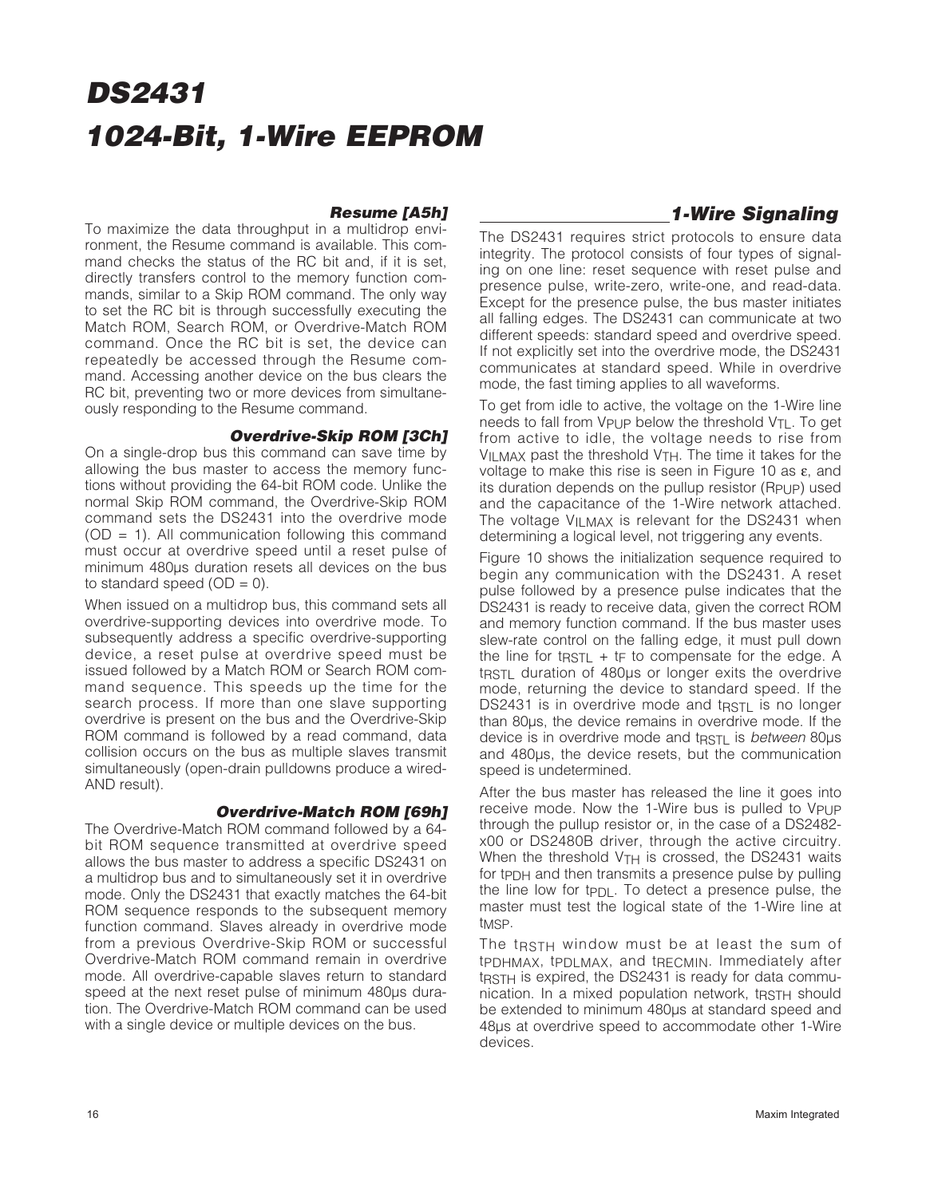#### **Resume [A5h]**

#### To maximize the data throughput in a multidrop environment, the Resume command is available. This command checks the status of the RC bit and, if it is set, directly transfers control to the memory function commands, similar to a Skip ROM command. The only way to set the RC bit is through successfully executing the Match ROM, Search ROM, or Overdrive-Match ROM command. Once the RC bit is set, the device can repeatedly be accessed through the Resume command. Accessing another device on the bus clears the RC bit, preventing two or more devices from simultaneously responding to the Resume command.

#### **Overdrive-Skip ROM [3Ch]**

On a single-drop bus this command can save time by allowing the bus master to access the memory functions without providing the 64-bit ROM code. Unlike the normal Skip ROM command, the Overdrive-Skip ROM command sets the DS2431 into the overdrive mode  $(OD = 1)$ . All communication following this command must occur at overdrive speed until a reset pulse of minimum 480µs duration resets all devices on the bus to standard speed  $(OD = 0)$ .

When issued on a multidrop bus, this command sets all overdrive-supporting devices into overdrive mode. To subsequently address a specific overdrive-supporting device, a reset pulse at overdrive speed must be issued followed by a Match ROM or Search ROM command sequence. This speeds up the time for the search process. If more than one slave supporting overdrive is present on the bus and the Overdrive-Skip ROM command is followed by a read command, data collision occurs on the bus as multiple slaves transmit simultaneously (open-drain pulldowns produce a wired-AND result).

#### **Overdrive-Match ROM [69h]**

The Overdrive-Match ROM command followed by a 64 bit ROM sequence transmitted at overdrive speed allows the bus master to address a specific DS2431 on a multidrop bus and to simultaneously set it in overdrive mode. Only the DS2431 that exactly matches the 64-bit ROM sequence responds to the subsequent memory function command. Slaves already in overdrive mode from a previous Overdrive-Skip ROM or successful Overdrive-Match ROM command remain in overdrive mode. All overdrive-capable slaves return to standard speed at the next reset pulse of minimum 480µs duration. The Overdrive-Match ROM command can be used with a single device or multiple devices on the bus.

### **1-Wire Signaling**

The DS2431 requires strict protocols to ensure data integrity. The protocol consists of four types of signaling on one line: reset sequence with reset pulse and presence pulse, write-zero, write-one, and read-data. Except for the presence pulse, the bus master initiates all falling edges. The DS2431 can communicate at two different speeds: standard speed and overdrive speed. If not explicitly set into the overdrive mode, the DS2431 communicates at standard speed. While in overdrive mode, the fast timing applies to all waveforms.

To get from idle to active, the voltage on the 1-Wire line needs to fall from V<sub>PUP</sub> below the threshold V<sub>TL</sub>. To get from active to idle, the voltage needs to rise from  $V_{II}$  MAX past the threshold  $V_{TH}$ . The time it takes for the voltage to make this rise is seen in Figure 10 as ε, and its duration depends on the pullup resistor (RPUP) used and the capacitance of the 1-Wire network attached. The voltage V<sub>ILMAX</sub> is relevant for the DS2431 when determining a logical level, not triggering any events.

Figure 10 shows the initialization sequence required to begin any communication with the DS2431. A reset pulse followed by a presence pulse indicates that the DS2431 is ready to receive data, given the correct ROM and memory function command. If the bus master uses slew-rate control on the falling edge, it must pull down the line for t $RSTL + tF$  to compensate for the edge. A t<sub>RSTL</sub> duration of 480µs or longer exits the overdrive mode, returning the device to standard speed. If the DS2431 is in overdrive mode and tRSTL is no longer than 80µs, the device remains in overdrive mode. If the device is in overdrive mode and tracture is between 80us and 480µs, the device resets, but the communication speed is undetermined.

After the bus master has released the line it goes into receive mode. Now the 1-Wire bus is pulled to VPUP through the pullup resistor or, in the case of a DS2482 x00 or DS2480B driver, through the active circuitry. When the threshold V<sub>TH</sub> is crossed, the DS2431 waits for tPDH and then transmits a presence pulse by pulling the line low for t $PDL$ . To detect a presence pulse, the master must test the logical state of the 1-Wire line at t<sub>MSP</sub>.

The t<sub>RSTH</sub> window must be at least the sum of tPDHMAX, tPDLMAX, and tRECMIN. Immediately after tracter is expired, the DS2431 is ready for data communication. In a mixed population network, tasted should be extended to minimum 480µs at standard speed and 48µs at overdrive speed to accommodate other 1-Wire devices.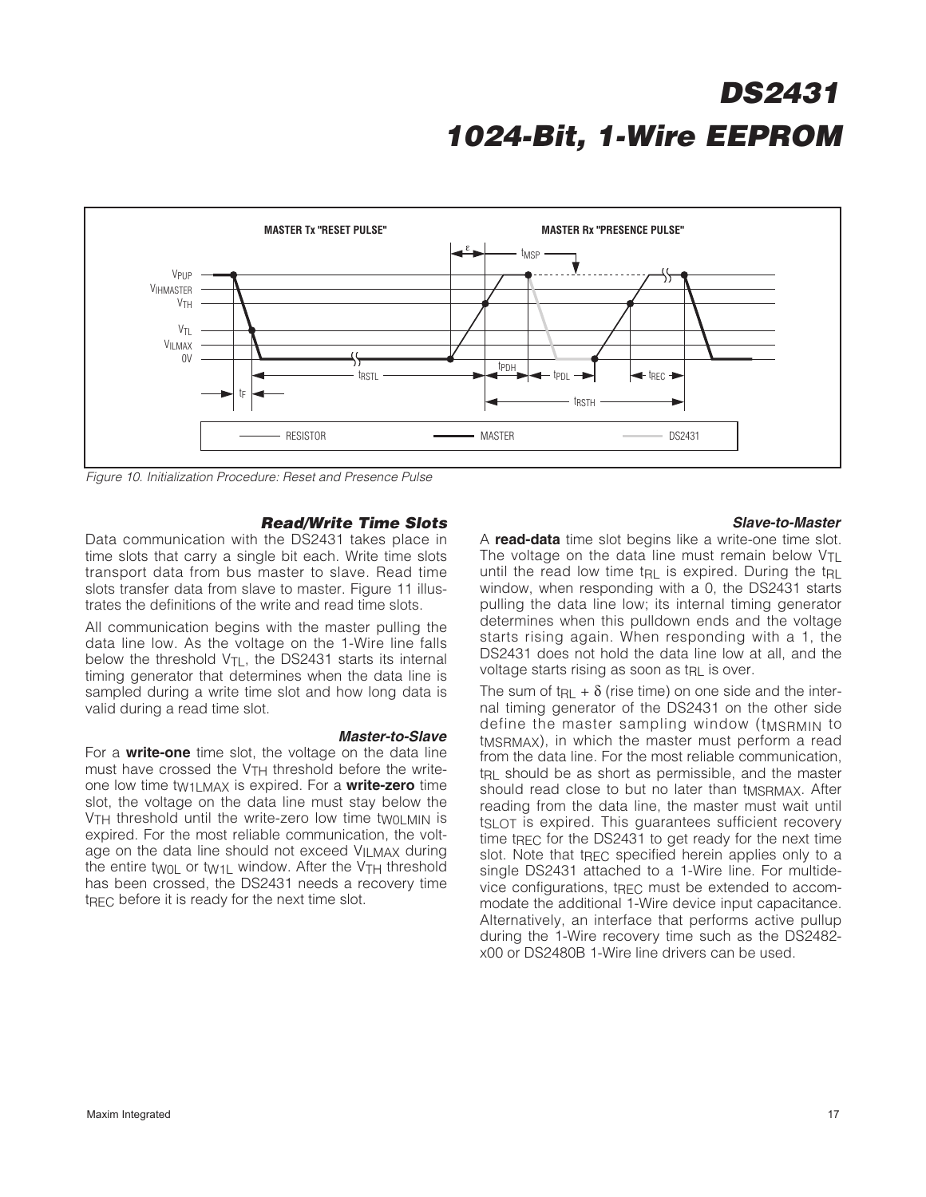

Figure 10. Initialization Procedure: Reset and Presence Pulse

#### **Read/Write Time Slots**

**Master-to-Slave**

Data communication with the DS2431 takes place in time slots that carry a single bit each. Write time slots transport data from bus master to slave. Read time slots transfer data from slave to master. Figure 11 illustrates the definitions of the write and read time slots.

All communication begins with the master pulling the data line low. As the voltage on the 1-Wire line falls below the threshold  $V_{\text{TI}}$ , the DS2431 starts its internal timing generator that determines when the data line is sampled during a write time slot and how long data is valid during a read time slot.

For a **write-one** time slot, the voltage on the data line must have crossed the V<sub>TH</sub> threshold before the writeone low time tW1LMAX is expired. For a **write-zero** time slot, the voltage on the data line must stay below the V<sub>TH</sub> threshold until the write-zero low time two MIN is expired. For the most reliable communication, the voltage on the data line should not exceed VILMAX during the entire twoL or tw<sub>1</sub>L window. After the V<sub>TH</sub> threshold has been crossed, the DS2431 needs a recovery time t<sub>RFC</sub> before it is ready for the next time slot.

#### **Slave-to-Master**

A **read-data** time slot begins like a write-one time slot. The voltage on the data line must remain below  $V_{TL}$ until the read low time t<sub>RL</sub> is expired. During the t<sub>RL</sub> window, when responding with a 0, the DS2431 starts pulling the data line low; its internal timing generator determines when this pulldown ends and the voltage starts rising again. When responding with a 1, the DS2431 does not hold the data line low at all, and the voltage starts rising as soon as tRL is over.

The sum of t<sub>RL</sub> +  $\delta$  (rise time) on one side and the internal timing generator of the DS2431 on the other side define the master sampling window (tMSRMIN to tMSRMAX), in which the master must perform a read from the data line. For the most reliable communication, t<sub>RL</sub> should be as short as permissible, and the master should read close to but no later than tMSRMAX. After reading from the data line, the master must wait until tSLOT is expired. This guarantees sufficient recovery time t<sub>RFC</sub> for the DS2431 to get ready for the next time slot. Note that tREC specified herein applies only to a single DS2431 attached to a 1-Wire line. For multidevice configurations, tREC must be extended to accommodate the additional 1-Wire device input capacitance. Alternatively, an interface that performs active pullup during the 1-Wire recovery time such as the DS2482 x00 or DS2480B 1-Wire line drivers can be used.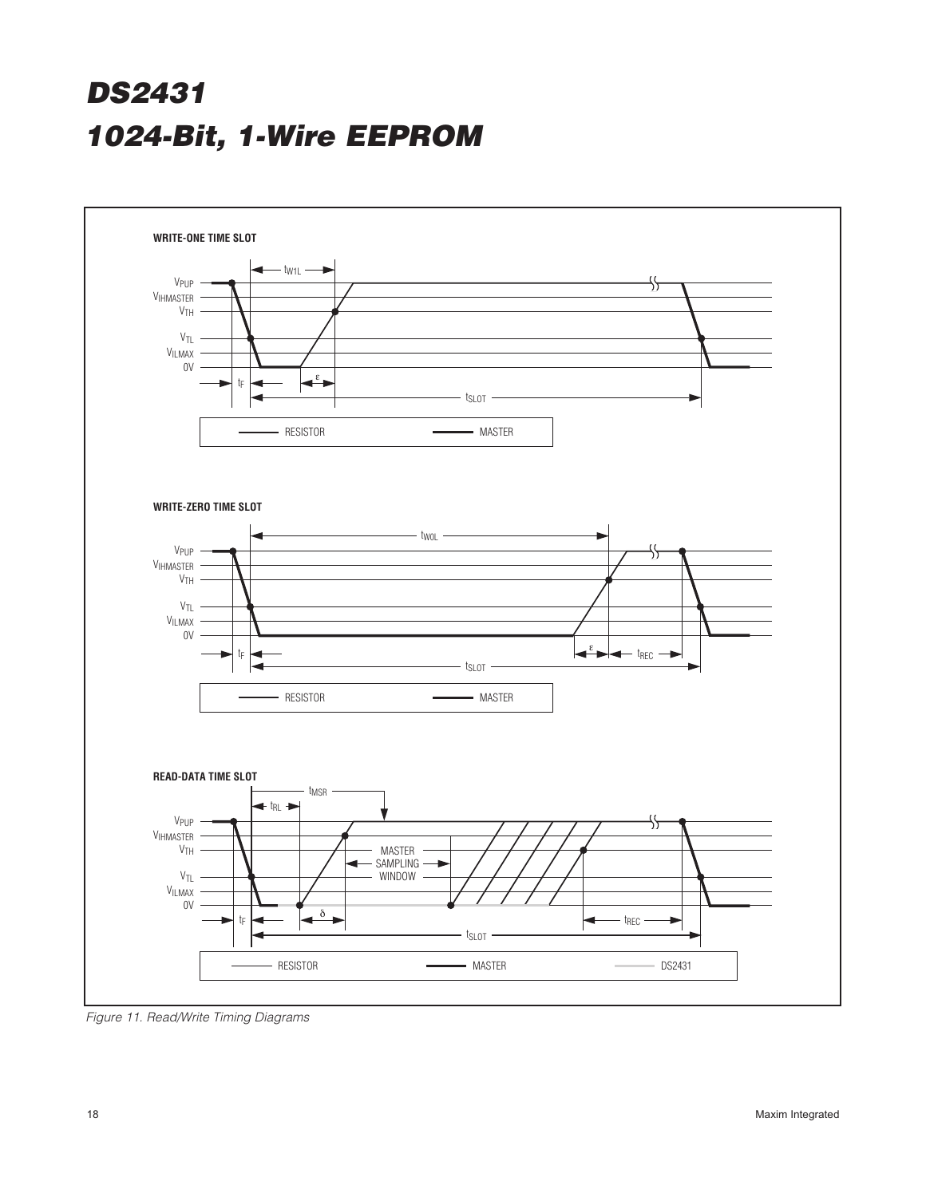

Figure 11. Read/Write Timing Diagrams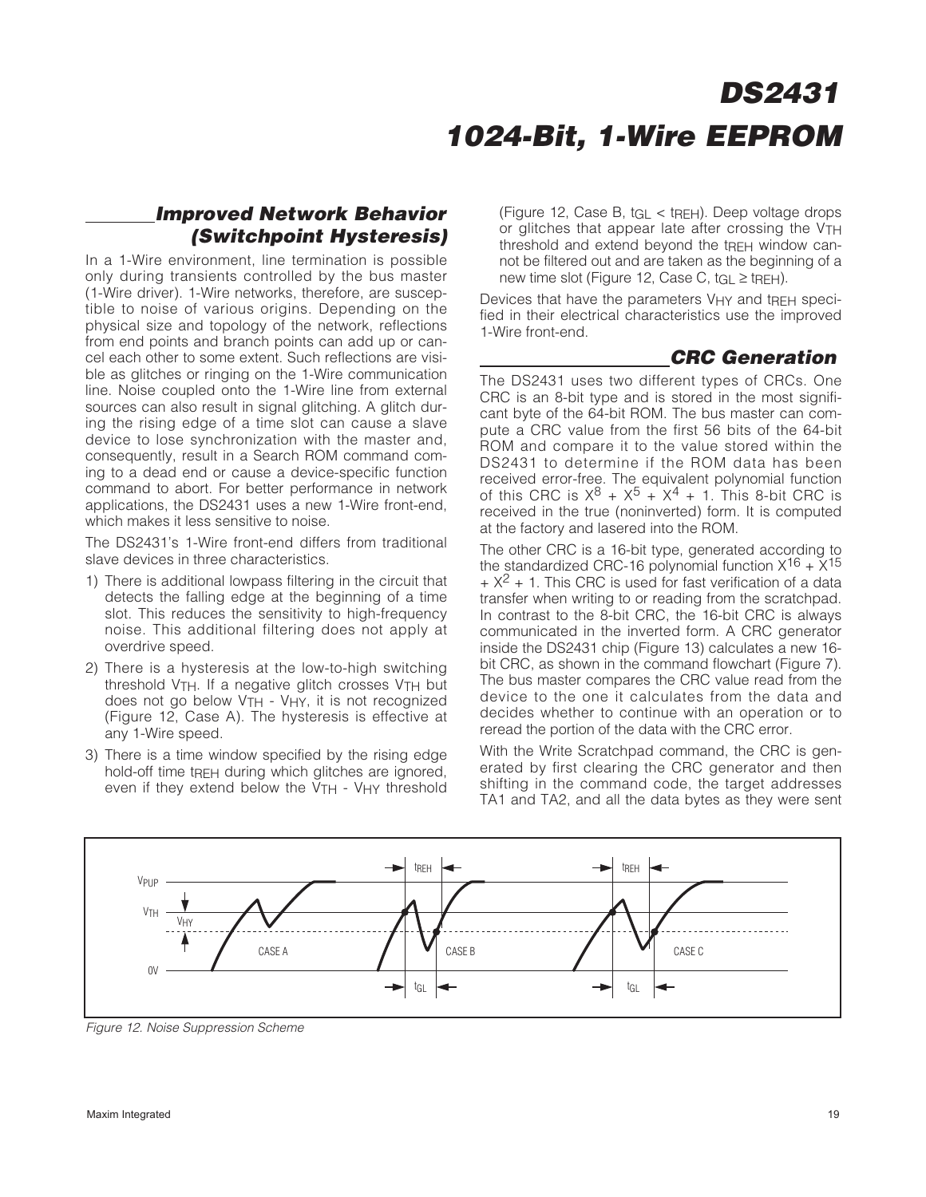### **Improved Network Behavior (Switchpoint Hysteresis)**

In a 1-Wire environment, line termination is possible only during transients controlled by the bus master (1-Wire driver). 1-Wire networks, therefore, are susceptible to noise of various origins. Depending on the physical size and topology of the network, reflections from end points and branch points can add up or cancel each other to some extent. Such reflections are visible as glitches or ringing on the 1-Wire communication line. Noise coupled onto the 1-Wire line from external sources can also result in signal glitching. A glitch during the rising edge of a time slot can cause a slave device to lose synchronization with the master and, consequently, result in a Search ROM command coming to a dead end or cause a device-specific function command to abort. For better performance in network applications, the DS2431 uses a new 1-Wire front-end, which makes it less sensitive to noise.

The DS2431's 1-Wire front-end differs from traditional slave devices in three characteristics.

- 1) There is additional lowpass filtering in the circuit that detects the falling edge at the beginning of a time slot. This reduces the sensitivity to high-frequency noise. This additional filtering does not apply at overdrive speed.
- 2) There is a hysteresis at the low-to-high switching threshold VTH. If a negative glitch crosses VTH but does not go below  $VTH - VHY$ , it is not recognized (Figure 12, Case A). The hysteresis is effective at any 1-Wire speed.
- 3) There is a time window specified by the rising edge hold-off time tREH during which glitches are ignored, even if they extend below the V<sub>TH</sub> - V<sub>HY</sub> threshold

(Figure 12, Case B, tGL < tREH). Deep voltage drops or glitches that appear late after crossing the VTH threshold and extend beyond the tREH window cannot be filtered out and are taken as the beginning of a new time slot (Figure 12, Case C,  $t_{\text{GI}} \ge \text{t}_{\text{RFH}}$ ).

Devices that have the parameters VHY and tRFH specified in their electrical characteristics use the improved 1-Wire front-end.

### **CRC Generation**

The DS2431 uses two different types of CRCs. One CRC is an 8-bit type and is stored in the most significant byte of the 64-bit ROM. The bus master can compute a CRC value from the first 56 bits of the 64-bit ROM and compare it to the value stored within the DS2431 to determine if the ROM data has been received error-free. The equivalent polynomial function of this CRC is  $X^8 + X^5 + X^4 + 1$ . This 8-bit CRC is received in the true (noninverted) form. It is computed at the factory and lasered into the ROM.

The other CRC is a 16-bit type, generated according to the standardized CRC-16 polynomial function  $X^{16} + X^{15}$  $+ X<sup>2</sup> + 1$ . This CRC is used for fast verification of a data transfer when writing to or reading from the scratchpad. In contrast to the 8-bit CRC, the 16-bit CRC is always communicated in the inverted form. A CRC generator inside the DS2431 chip (Figure 13) calculates a new 16 bit CRC, as shown in the command flowchart (Figure 7). The bus master compares the CRC value read from the device to the one it calculates from the data and decides whether to continue with an operation or to reread the portion of the data with the CRC error.

With the Write Scratchpad command, the CRC is generated by first clearing the CRC generator and then shifting in the command code, the target addresses TA1 and TA2, and all the data bytes as they were sent



Figure 12. Noise Suppression Scheme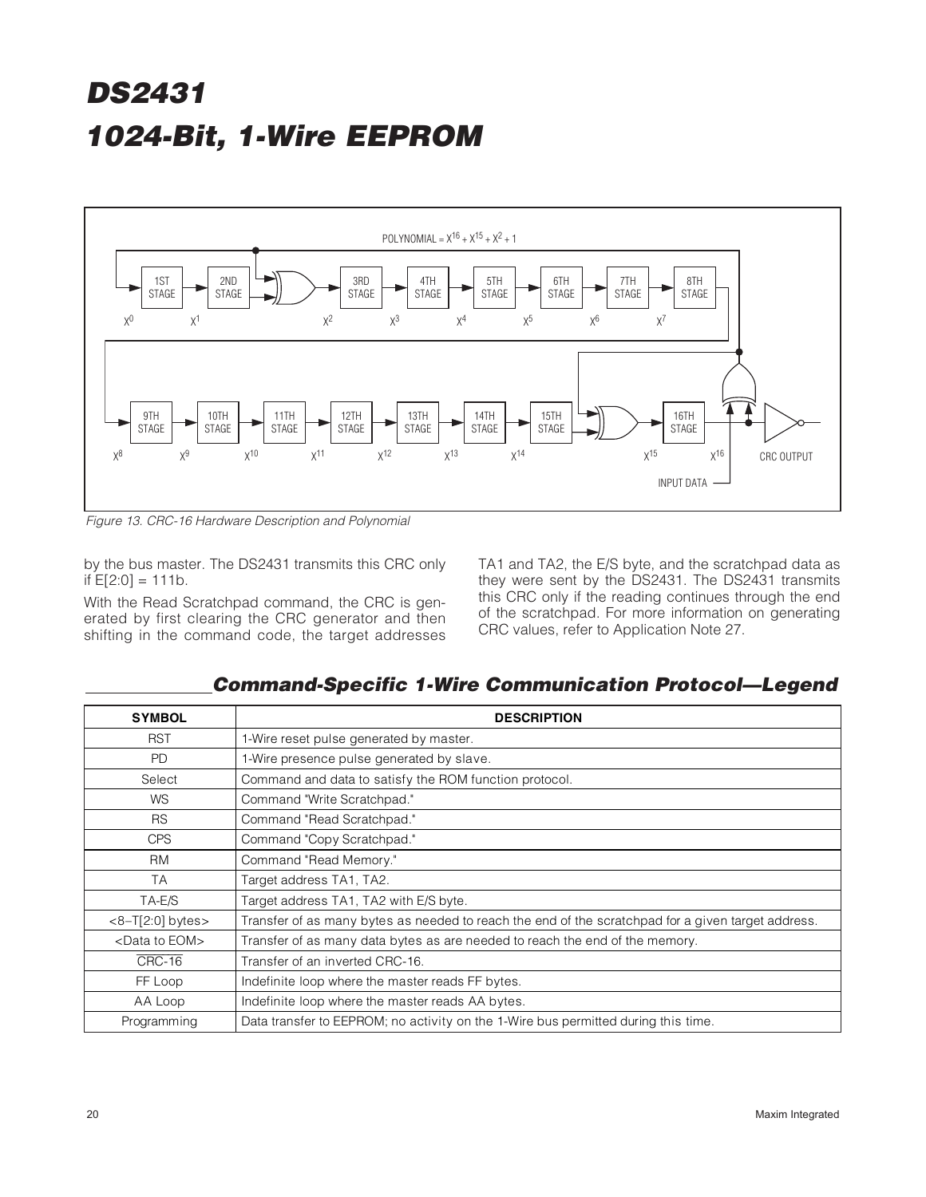

Figure 13. CRC-16 Hardware Description and Polynomial

by the bus master. The DS2431 transmits this CRC only if  $E[2:0] = 111b$ .

With the Read Scratchpad command, the CRC is generated by first clearing the CRC generator and then shifting in the command code, the target addresses TA1 and TA2, the E/S byte, and the scratchpad data as they were sent by the DS2431. The DS2431 transmits this CRC only if the reading continues through the end of the scratchpad. For more information on generating CRC values, refer to Application Note 27.

**Command-Specific 1-Wire Communication Protocol—Legend**

| <b>SYMBOL</b>              | <b>DESCRIPTION</b>                                                                                 |
|----------------------------|----------------------------------------------------------------------------------------------------|
| <b>RST</b>                 | 1-Wire reset pulse generated by master.                                                            |
| <b>PD</b>                  | 1-Wire presence pulse generated by slave.                                                          |
| Select                     | Command and data to satisfy the ROM function protocol.                                             |
| <b>WS</b>                  | Command "Write Scratchpad."                                                                        |
| <b>RS</b>                  | Command "Read Scratchpad."                                                                         |
| <b>CPS</b>                 | Command "Copy Scratchpad."                                                                         |
| <b>RM</b>                  | Command "Read Memory."                                                                             |
| <b>TA</b>                  | Target address TA1, TA2.                                                                           |
| TA-E/S                     | Target address TA1, TA2 with E/S byte.                                                             |
| $<8-T[2:0]$ bytes $>$      | Transfer of as many bytes as needed to reach the end of the scratchpad for a given target address. |
| <data eom="" to=""></data> | Transfer of as many data bytes as are needed to reach the end of the memory.                       |
| CRC-16                     | Transfer of an inverted CRC-16.                                                                    |
| FF Loop                    | Indefinite loop where the master reads FF bytes.                                                   |
| AA Loop                    | Indefinite loop where the master reads AA bytes.                                                   |
| Programming                | Data transfer to EEPROM; no activity on the 1-Wire bus permitted during this time.                 |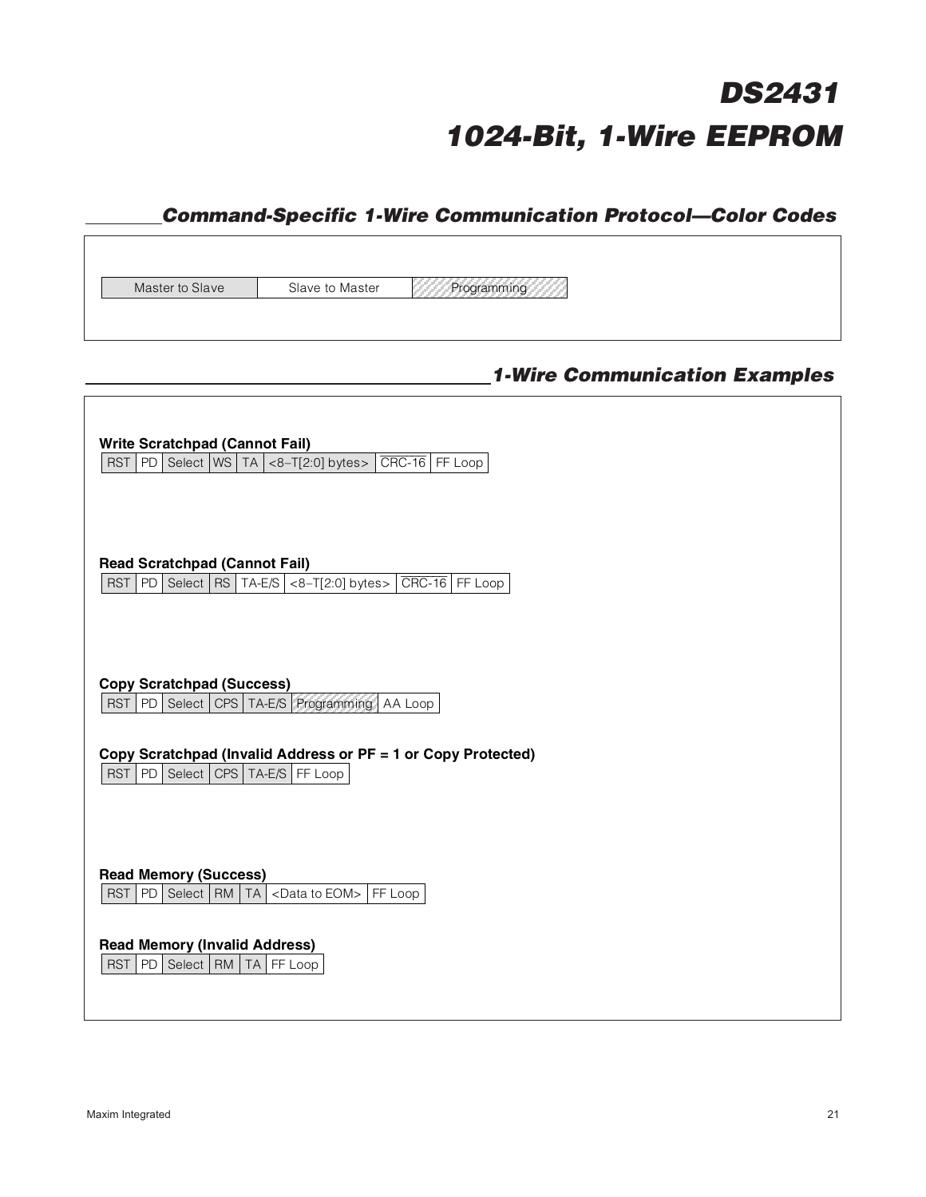### **Command-Specific 1-Wire Communication Protocol—Color Codes**

Master to Slave Slave to Master Programming

### **1-Wire Communication Examples**

| <b>Write Scratchpad (Cannot Fail)</b><br>PD   Select   WS   TA $ $ <8-T[2:0] bytes> $ $ CRC-16   FF Loop<br><b>RST</b> |
|------------------------------------------------------------------------------------------------------------------------|
| <b>Read Scratchpad (Cannot Fail)</b><br>PD   Select   RS   TA-E/S   <8-T[2:0] bytes>   CRC-16   FF Loop<br><b>RST</b>  |
| <b>Copy Scratchpad (Success)</b><br><b>RST</b><br>PD   Select   CPS   TA-E/S   Programming<br>AA Loop                  |
| Copy Scratchpad (Invalid Address or PF = 1 or Copy Protected)<br><b>RST</b><br>PD   Select   CPS   TA-E/S  <br>FF Loop |
| <b>Read Memory (Success)</b><br><b>RST</b><br>PD   Select   RM   TA   <data eom="" to="">   FF Loop</data>             |
| <b>Read Memory (Invalid Address)</b><br>Select   RM<br><b>RST</b><br>PD<br>TA FF Loop                                  |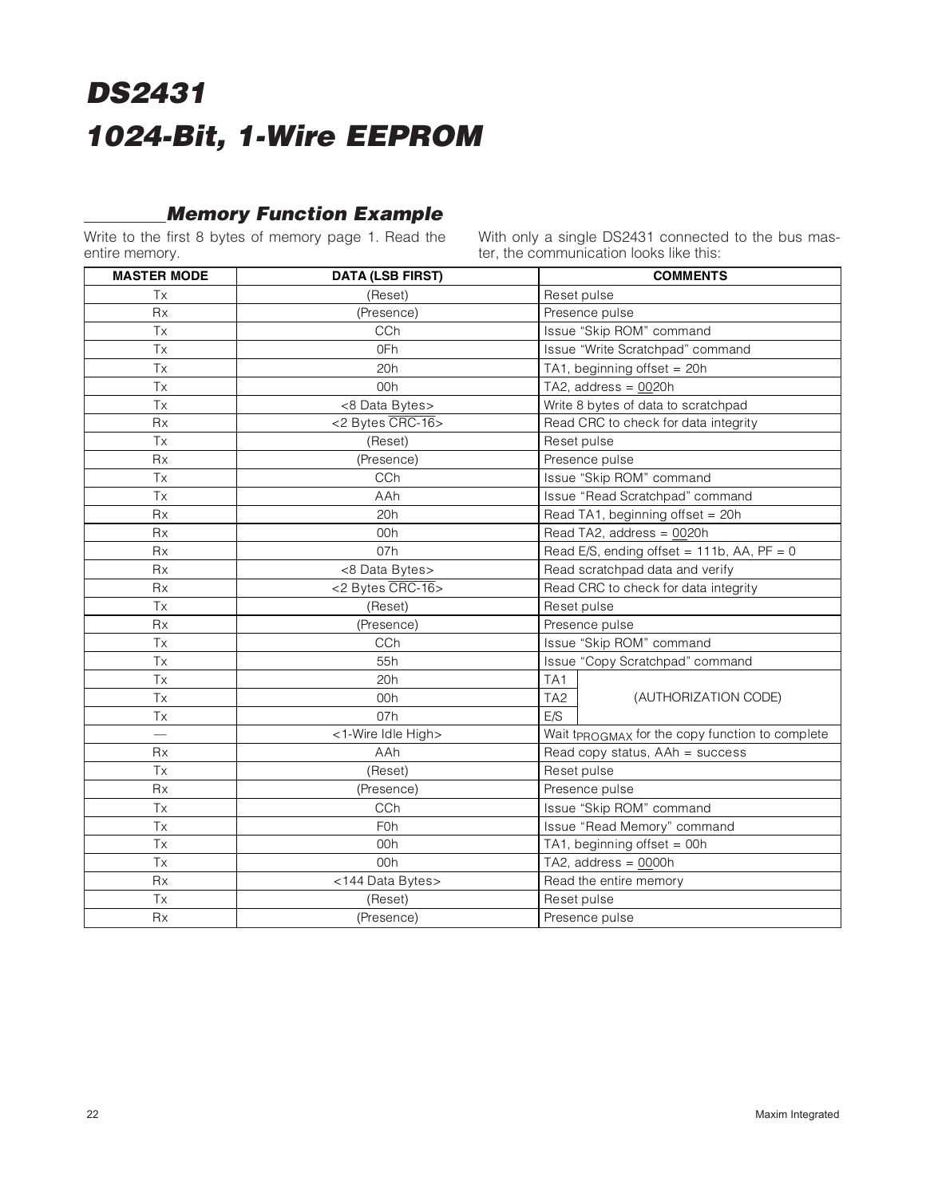### **Memory Function Example**

Write to the first 8 bytes of memory page 1. Read the entire memory.

With only a single DS2431 connected to the bus master, the communication looks like this:

| <b>MASTER MODE</b> | <b>DATA (LSB FIRST)</b> | <b>COMMENTS</b>                                 |  |  |  |
|--------------------|-------------------------|-------------------------------------------------|--|--|--|
| Tx                 | (Reset)                 | Reset pulse                                     |  |  |  |
| Rx                 | (Presence)              | Presence pulse                                  |  |  |  |
| <b>Tx</b>          | CCh                     | Issue "Skip ROM" command                        |  |  |  |
| Tx                 | 0Fh                     | Issue "Write Scratchpad" command                |  |  |  |
| Tx                 | 20h                     | TA1, beginning offset = $20h$                   |  |  |  |
| <b>Tx</b>          | 00h                     | TA2, address = $0020h$                          |  |  |  |
| Tx                 | <8 Data Bytes>          | Write 8 bytes of data to scratchpad             |  |  |  |
| <b>Rx</b>          | <2 Bytes CRC-16>        | Read CRC to check for data integrity            |  |  |  |
| <b>Tx</b>          | (Reset)                 | Reset pulse                                     |  |  |  |
| <b>Rx</b>          | (Presence)              | Presence pulse                                  |  |  |  |
| Tx                 | CCh                     | Issue "Skip ROM" command                        |  |  |  |
| Tx                 | AAh                     | Issue "Read Scratchpad" command                 |  |  |  |
| Rx                 | 20h                     | Read TA1, beginning offset = 20h                |  |  |  |
| <b>Rx</b>          | 00h                     | Read TA2, address = 0020h                       |  |  |  |
| Rx                 | 07h                     | Read E/S, ending offset = $111b$ , AA, PF = 0   |  |  |  |
| Rx                 | <8 Data Bytes>          | Read scratchpad data and verify                 |  |  |  |
| <b>Rx</b>          | <2 Bytes CRC-16>        | Read CRC to check for data integrity            |  |  |  |
| Tx                 | (Reset)                 | Reset pulse                                     |  |  |  |
| <b>Rx</b>          | (Presence)              | Presence pulse                                  |  |  |  |
| Tx                 | CCh                     | Issue "Skip ROM" command                        |  |  |  |
| Tx                 | 55h                     | Issue "Copy Scratchpad" command                 |  |  |  |
| Tx                 | 20h                     | TA1                                             |  |  |  |
| Tx                 | 00h                     | TA <sub>2</sub><br>(AUTHORIZATION CODE)         |  |  |  |
| Tx                 | 07h                     | E/S                                             |  |  |  |
|                    | <1-Wire Idle High>      | Wait tpROGMAX for the copy function to complete |  |  |  |
| Rx                 | AAh                     | Read copy status, AAh = success                 |  |  |  |
| Tx                 | (Reset)                 | Reset pulse                                     |  |  |  |
| <b>Rx</b>          | (Presence)              | Presence pulse                                  |  |  |  |
| Tx                 | CCh                     | Issue "Skip ROM" command                        |  |  |  |
| Tx                 | <b>F0h</b>              | Issue "Read Memory" command                     |  |  |  |
| Tx                 | 00h                     | TA1, beginning offset = 00h                     |  |  |  |
| Tx                 | 00h                     | TA2, address = $0000h$                          |  |  |  |
| Rx                 | <144 Data Bytes>        | Read the entire memory                          |  |  |  |
| Tx                 | (Reset)                 | Reset pulse                                     |  |  |  |
| Rx                 | (Presence)              | Presence pulse                                  |  |  |  |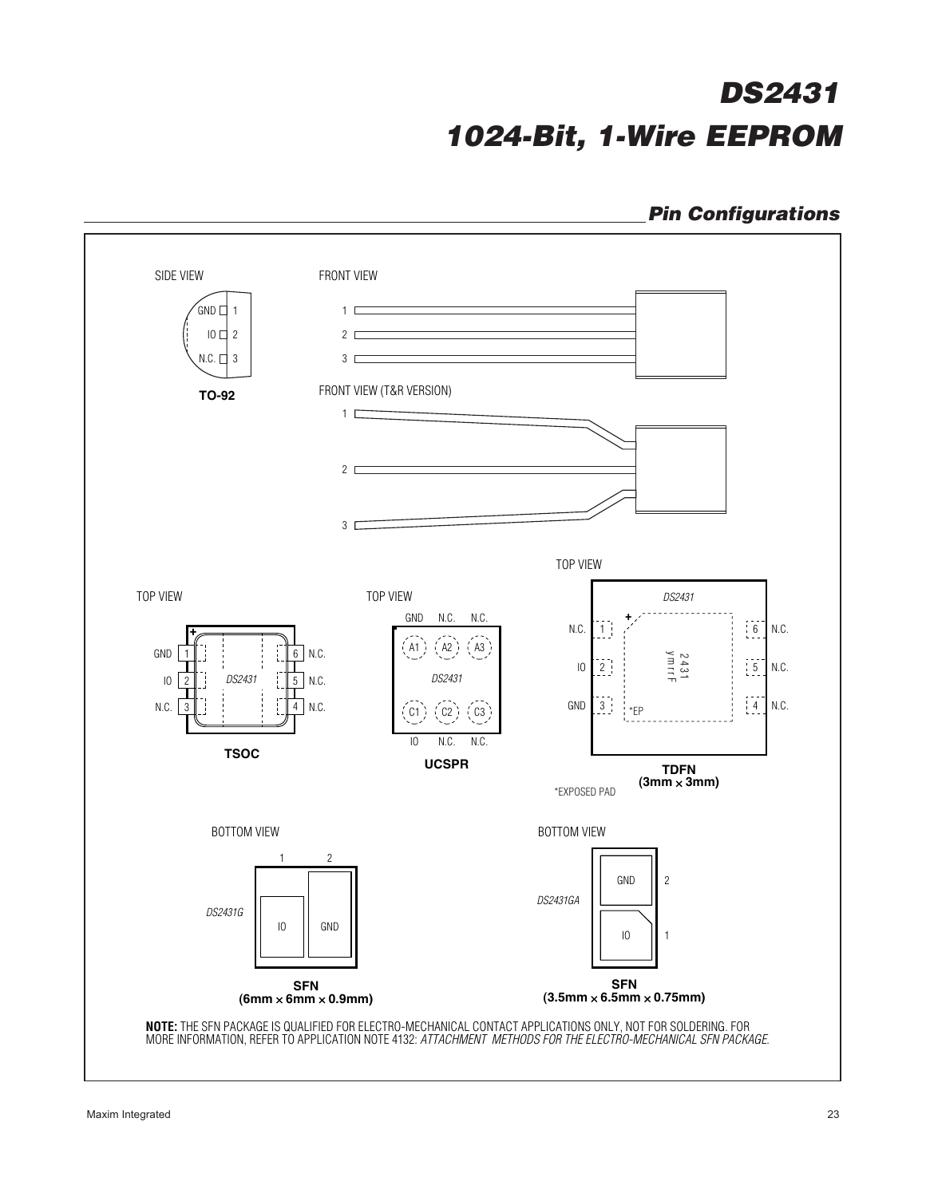### **Pin Configurations**

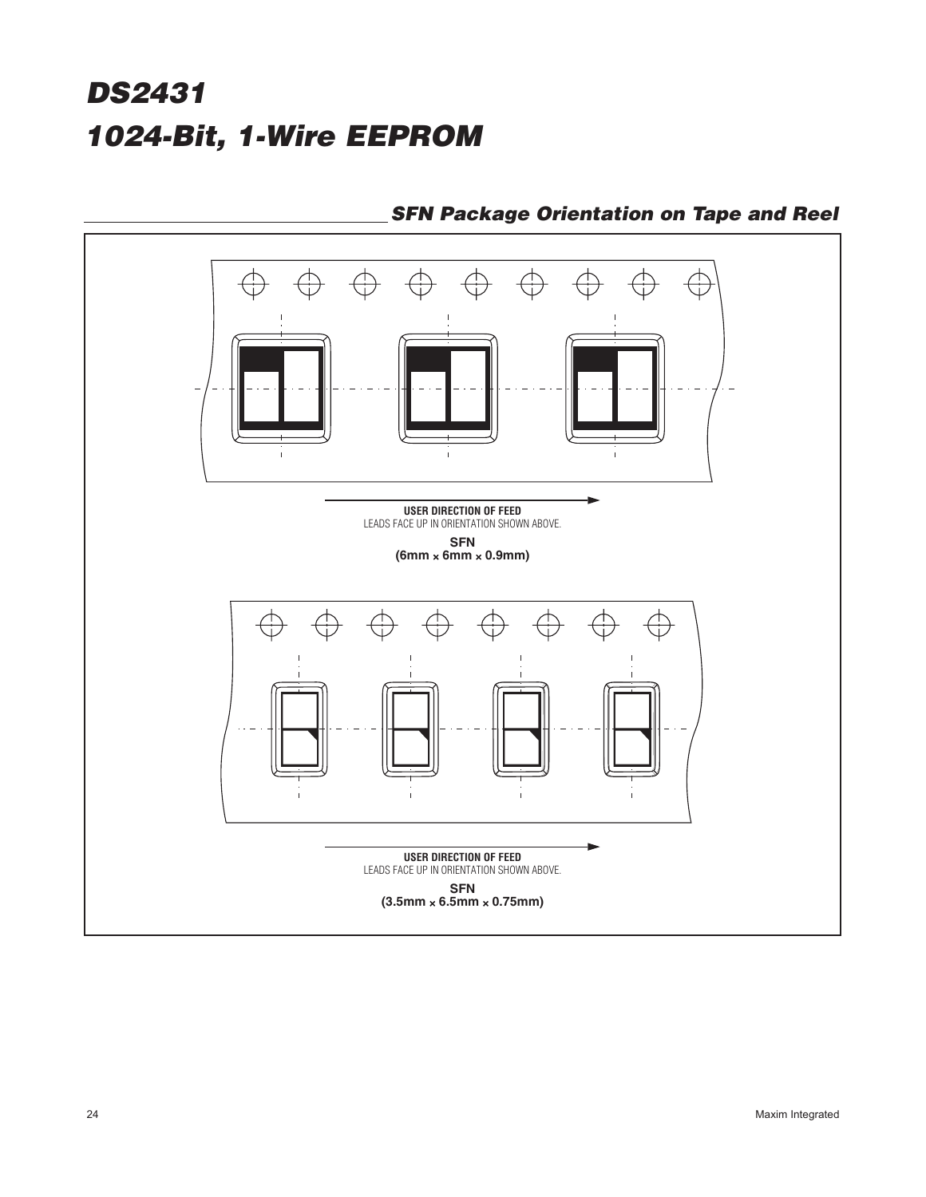

**SFN Package Orientation on Tape and Reel**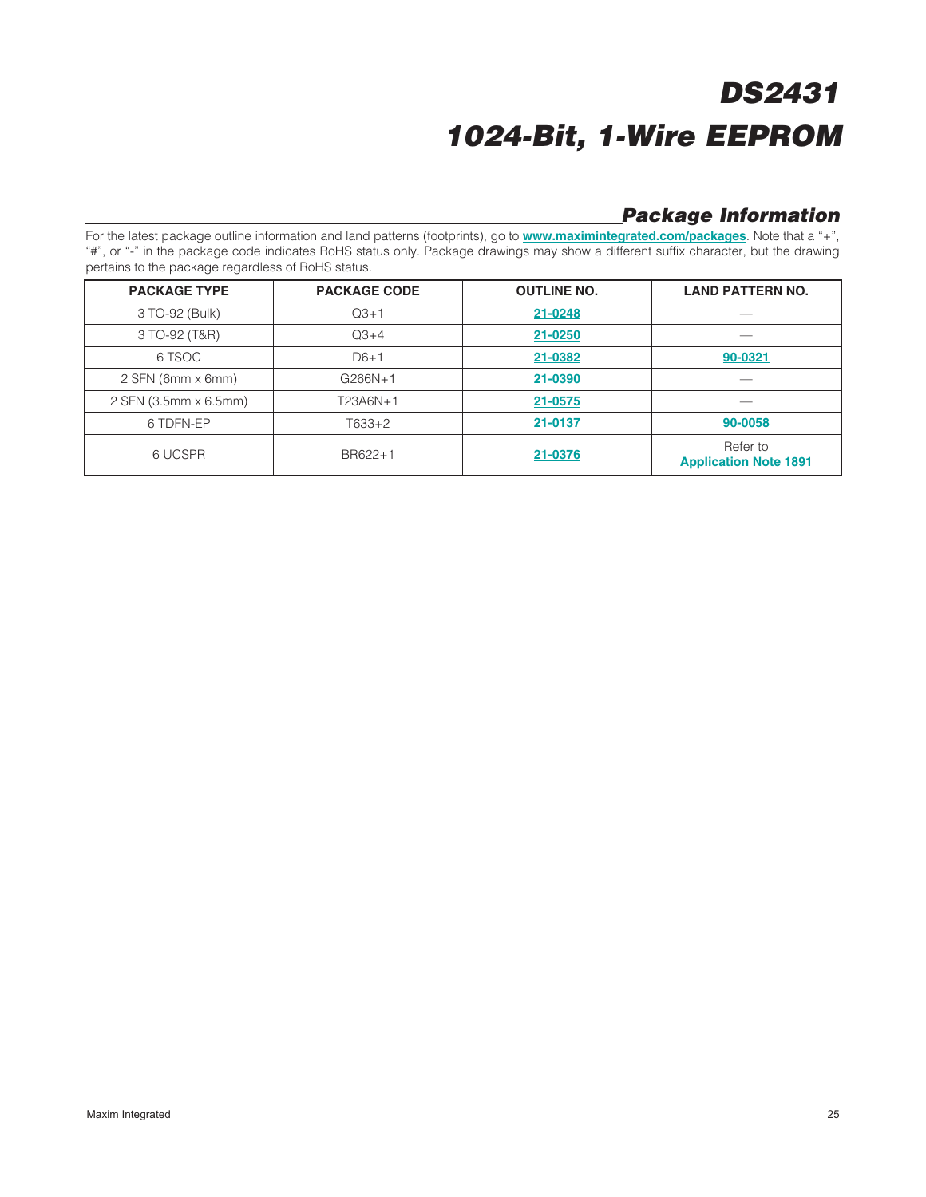### **Package Information**

For the latest package outline information and land patterns (footprints), go to **www.maximintegrated.com/packages**. Note that a "+", "#", or "-" in the package code indicates RoHS status only. Package drawings may show a different suffix character, but the drawing pertains to the package regardless of RoHS status.

| <b>PACKAGE TYPE</b>        | <b>PACKAGE CODE</b> | <b>OUTLINE NO.</b> | <b>LAND PATTERN NO.</b>                  |
|----------------------------|---------------------|--------------------|------------------------------------------|
| 3 TO-92 (Bulk)             | $Q3 + 1$            | 21-0248            |                                          |
| 3 TO-92 (T&R)              | $Q3+4$              | 21-0250            |                                          |
| 6 TSOC                     | $D6+1$              | 21-0382            | 90-0321                                  |
| $2$ SFN (6mm $\times$ 6mm) | $G266N+1$           | 21-0390            |                                          |
| 2 SFN (3.5mm x 6.5mm)      | T23A6N+1            | 21-0575            |                                          |
| 6 TDFN-EP                  | $T633+2$            | 21-0137            | 90-0058                                  |
| 6 UCSPR                    | BR622+1             | 21-0376            | Refer to<br><b>Application Note 1891</b> |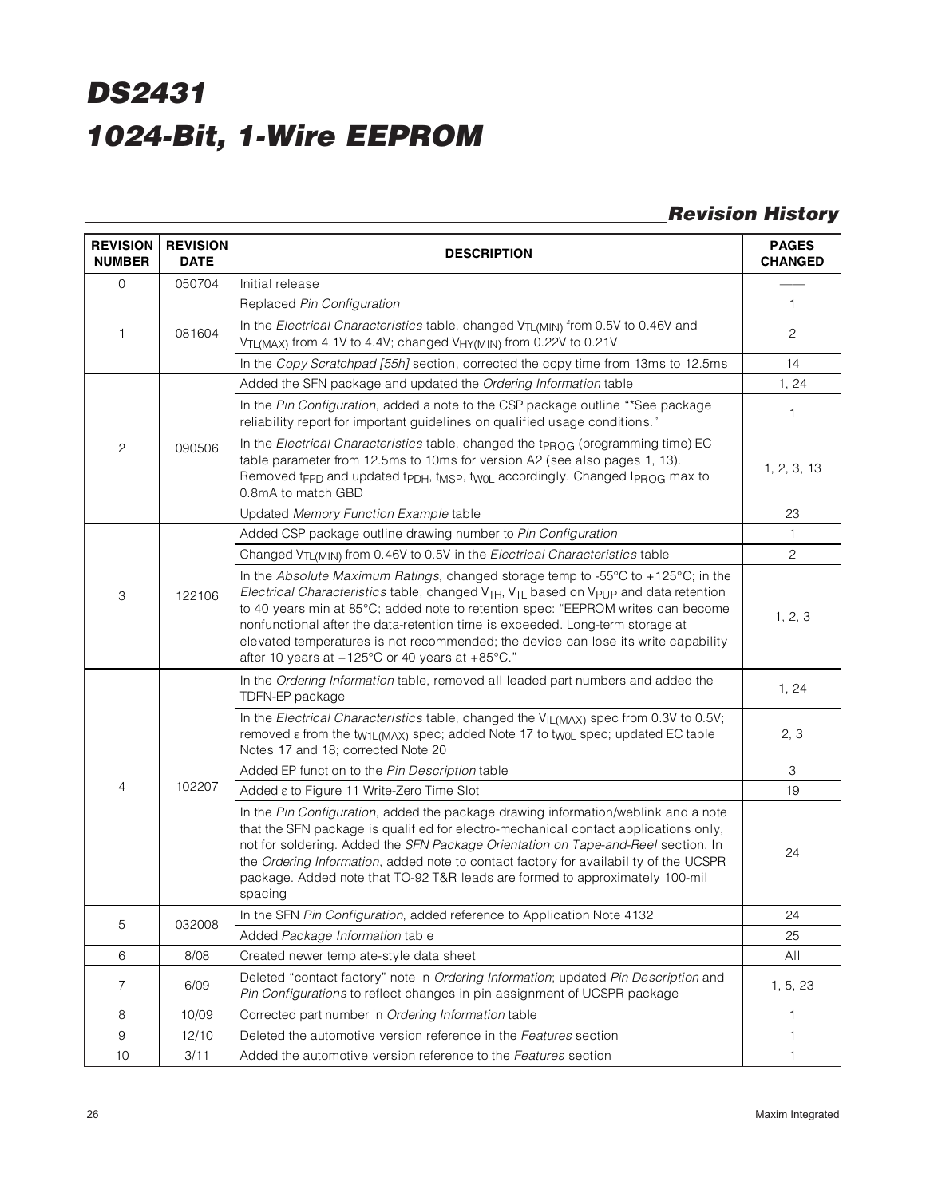### **Revision History**

| <b>REVISION</b><br><b>NUMBER</b> | <b>REVISION</b><br><b>DATE</b> | <b>DESCRIPTION</b>                                                                                                                                                                                                                                                                                                                                                                                                                                                                                                         | <b>PAGES</b><br><b>CHANGED</b> |
|----------------------------------|--------------------------------|----------------------------------------------------------------------------------------------------------------------------------------------------------------------------------------------------------------------------------------------------------------------------------------------------------------------------------------------------------------------------------------------------------------------------------------------------------------------------------------------------------------------------|--------------------------------|
| $\mathbf 0$                      | 050704                         | Initial release                                                                                                                                                                                                                                                                                                                                                                                                                                                                                                            |                                |
| 1                                |                                | Replaced Pin Configuration                                                                                                                                                                                                                                                                                                                                                                                                                                                                                                 | $\mathbf{1}$                   |
|                                  | 081604                         | In the Electrical Characteristics table, changed V <sub>TL(MIN)</sub> from 0.5V to 0.46V and<br>V <sub>TL(MAX)</sub> from 4.1V to 4.4V; changed V <sub>HY(MIN)</sub> from 0.22V to 0.21V                                                                                                                                                                                                                                                                                                                                   | $\mathbf{2}$                   |
|                                  |                                | In the Copy Scratchpad [55h] section, corrected the copy time from 13ms to 12.5ms                                                                                                                                                                                                                                                                                                                                                                                                                                          | 14                             |
| $\overline{c}$                   | 090506                         | Added the SFN package and updated the Ordering Information table                                                                                                                                                                                                                                                                                                                                                                                                                                                           | 1, 24                          |
|                                  |                                | In the Pin Configuration, added a note to the CSP package outline "*See package<br>reliability report for important guidelines on qualified usage conditions."                                                                                                                                                                                                                                                                                                                                                             | 1                              |
|                                  |                                | In the Electrical Characteristics table, changed the t <sub>PROG</sub> (programming time) EC<br>table parameter from 12.5ms to 10ms for version A2 (see also pages 1, 13).<br>Removed tFPD and updated tPDH, tMSP, twoL accordingly. Changed IPROG max to<br>0.8mA to match GBD                                                                                                                                                                                                                                            | 1, 2, 3, 13                    |
|                                  |                                | Updated Memory Function Example table                                                                                                                                                                                                                                                                                                                                                                                                                                                                                      | 23                             |
|                                  |                                | Added CSP package outline drawing number to Pin Configuration                                                                                                                                                                                                                                                                                                                                                                                                                                                              | $\mathbf{1}$                   |
|                                  |                                | Changed V <sub>TL(MIN)</sub> from 0.46V to 0.5V in the Electrical Characteristics table                                                                                                                                                                                                                                                                                                                                                                                                                                    | $\mathbf{2}$                   |
| $\ensuremath{\mathsf{3}}$        | 122106                         | In the Absolute Maximum Ratings, changed storage temp to -55°C to +125°C; in the<br>Electrical Characteristics table, changed V <sub>TH</sub> , V <sub>TL</sub> based on V <sub>PUP</sub> and data retention<br>to 40 years min at 85°C; added note to retention spec: "EEPROM writes can become<br>nonfunctional after the data-retention time is exceeded. Long-term storage at<br>elevated temperatures is not recommended; the device can lose its write capability<br>after 10 years at +125°C or 40 years at +85°C." | 1, 2, 3                        |
|                                  |                                | In the Ordering Information table, removed all leaded part numbers and added the<br>TDFN-EP package                                                                                                                                                                                                                                                                                                                                                                                                                        | 1, 24                          |
|                                  | 102207                         | In the Electrical Characteristics table, changed the VIL(MAX) spec from 0.3V to 0.5V;<br>removed $\epsilon$ from the tw1L(MAX) spec; added Note 17 to twoL spec; updated EC table<br>Notes 17 and 18; corrected Note 20                                                                                                                                                                                                                                                                                                    | 2, 3                           |
|                                  |                                | Added EP function to the Pin Description table                                                                                                                                                                                                                                                                                                                                                                                                                                                                             | 3                              |
| 4                                |                                | Added ε to Figure 11 Write-Zero Time Slot                                                                                                                                                                                                                                                                                                                                                                                                                                                                                  | 19                             |
|                                  |                                | In the Pin Configuration, added the package drawing information/weblink and a note<br>that the SFN package is qualified for electro-mechanical contact applications only,<br>not for soldering. Added the SFN Package Orientation on Tape-and-Reel section. In<br>the Ordering Information, added note to contact factory for availability of the UCSPR<br>package. Added note that TO-92 T&R leads are formed to approximately 100-mil<br>spacing                                                                         | 24                             |
| 5                                | 032008                         | In the SFN Pin Configuration, added reference to Application Note 4132                                                                                                                                                                                                                                                                                                                                                                                                                                                     | 24                             |
|                                  |                                | Added Package Information table                                                                                                                                                                                                                                                                                                                                                                                                                                                                                            | 25                             |
| 6                                | 8/08                           | Created newer template-style data sheet                                                                                                                                                                                                                                                                                                                                                                                                                                                                                    | All                            |
| $\overline{7}$                   | 6/09                           | Deleted "contact factory" note in Ordering Information; updated Pin Description and<br>Pin Configurations to reflect changes in pin assignment of UCSPR package                                                                                                                                                                                                                                                                                                                                                            | 1, 5, 23                       |
| 8                                | 10/09                          | Corrected part number in Ordering Information table                                                                                                                                                                                                                                                                                                                                                                                                                                                                        | 1                              |
| $\boldsymbol{9}$                 | 12/10                          | Deleted the automotive version reference in the Features section                                                                                                                                                                                                                                                                                                                                                                                                                                                           | $\mathbf{1}$                   |
| 10                               | 3/11                           | Added the automotive version reference to the Features section                                                                                                                                                                                                                                                                                                                                                                                                                                                             | $\mathbf{1}$                   |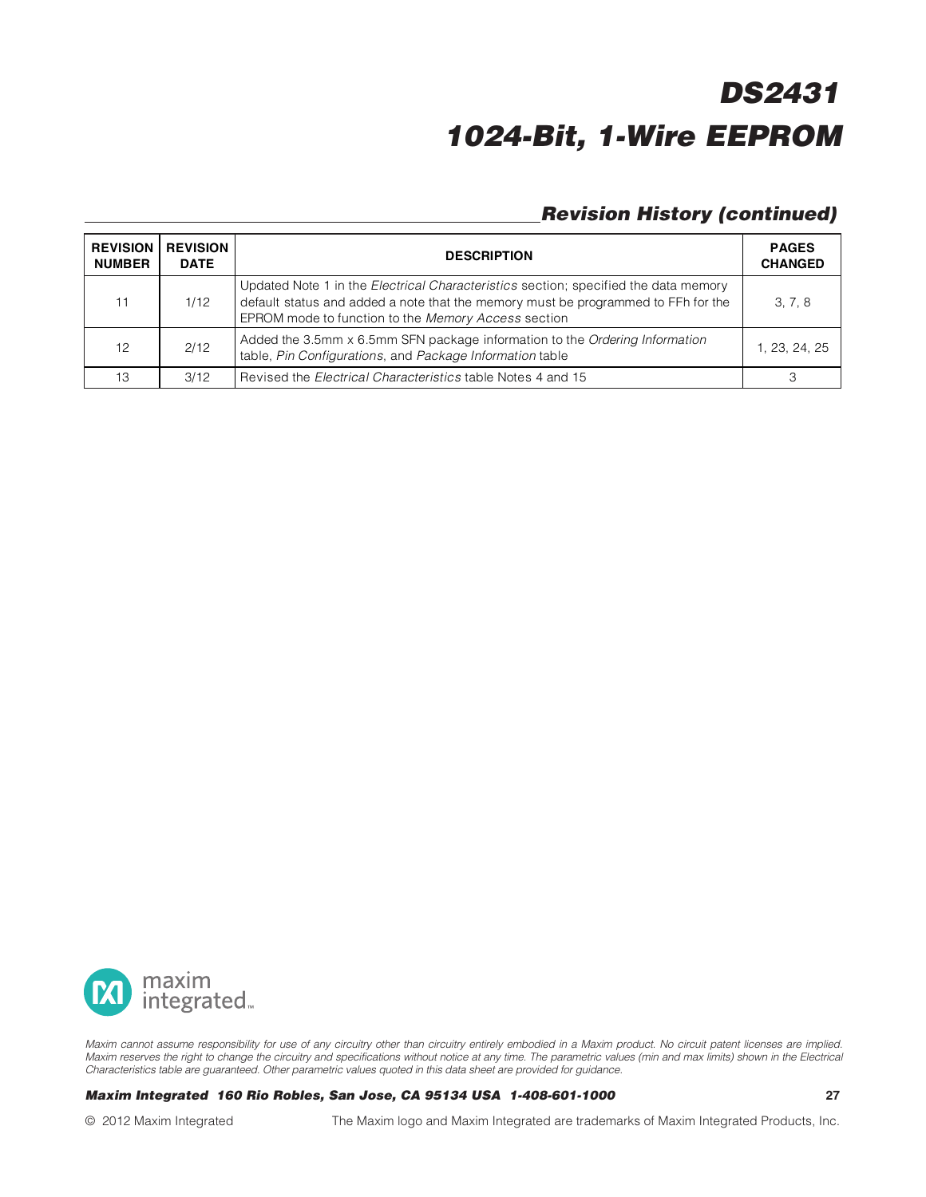### **Revision History (continued)**

| <b>REVISION</b><br><b>NUMBER</b> | <b>REVISION</b><br><b>DATE</b> | <b>DESCRIPTION</b>                                                                                                                                                                                                                     | <b>PAGES</b><br><b>CHANGED</b> |
|----------------------------------|--------------------------------|----------------------------------------------------------------------------------------------------------------------------------------------------------------------------------------------------------------------------------------|--------------------------------|
| 11                               | 1/12                           | Updated Note 1 in the <i>Electrical Characteristics</i> section; specified the data memory<br>default status and added a note that the memory must be programmed to FFh for the<br>EPROM mode to function to the Memory Access section | 3, 7, 8                        |
| 12                               | 2/12                           | Added the 3.5mm x 6.5mm SFN package information to the Ordering Information<br>table, Pin Configurations, and Package Information table                                                                                                | 1. 23. 24. 25                  |
| 13                               | 3/12                           | Revised the <i>Electrical Characteristics</i> table Notes 4 and 15                                                                                                                                                                     |                                |



Maxim cannot assume responsibility for use of any circuitry other than circuitry entirely embodied in a Maxim product. No circuit patent licenses are implied. Maxim reserves the right to change the circuitry and specifications without notice at any time. The parametric values (min and max limits) shown in the Electrical Characteristics table are guaranteed. Other parametric values quoted in this data sheet are provided for guidance.

#### **Maxim Integrated 160 Rio Robles, San Jose, CA 95134 USA 1-408-601-1000 27**

© 2012 Maxim Integrated The Maxim logo and Maxim Integrated are trademarks of Maxim Integrated Products, Inc.